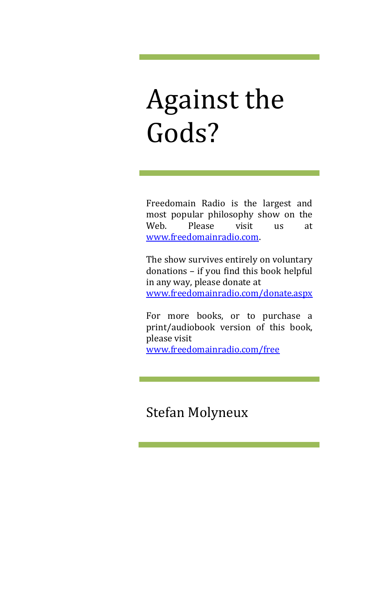# Against the Gods?

Freedomain Radio is the largest and most popular philosophy show on the Web. Please visit us at [www.freedomainradio.com.](http://www.freedomainradio.com/) 

The show survives entirely on voluntary donations – if you find this book helpful in any way, please donate at [www.freedomainradio.com/donate.aspx](http://www.freedomainradio.com/donate.aspx)

For more books, or to purchase a print/audiobook version of this book, please visit [www.freedomainradio.com/free](http://www.freedomainradio.com/free)

#### Stefan Molyneux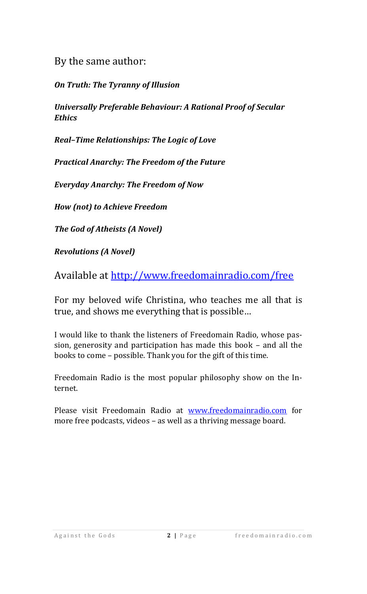By the same author:

*On Truth: The Tyranny of Illusion*

*Universally Preferable Behaviour: A Rational Proof of Secular Ethics*

*Real–Time Relationships: The Logic of Love*

*Practical Anarchy: The Freedom of the Future*

*Everyday Anarchy: The Freedom of Now*

*How (not) to Achieve Freedom*

*The God of Atheists (A Novel)*

*Revolutions (A Novel)*

Available a[t http://www.freedomainradio.com/free](http://www.freedomainradio.com/free)

For my beloved wife Christina, who teaches me all that is true, and shows me everything that is possible…

I would like to thank the listeners of Freedomain Radio, whose passion, generosity and participation has made this book – and all the books to come – possible. Thank you for the gift of this time.

Freedomain Radio is the most popular philosophy show on the Internet.

Please visit Freedomain Radio at [www.freedomainradio.com](http://www.freedomainradio.com/) for more free podcasts, videos – as well as a thriving message board.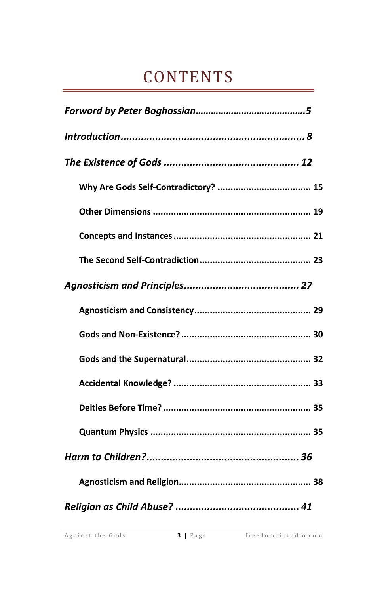#### **CONTENTS**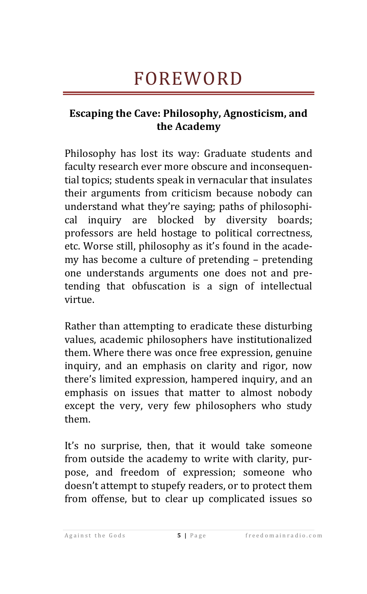#### **FOREWORD**

#### **Escaping the Cave: Philosophy, Agnosticism, and the Academy**

Philosophy has lost its way: Graduate students and faculty research ever more obscure and inconsequential topics; students speak in vernacular that insulates their arguments from criticism because nobody can understand what they're saying; paths of philosophical inquiry are blocked by diversity boards; professors are held hostage to political correctness, etc. Worse still, philosophy as it's found in the academy has become a culture of pretending – pretending one understands arguments one does not and pretending that obfuscation is a sign of intellectual virtue.

Rather than attempting to eradicate these disturbing values, academic philosophers have institutionalized them. Where there was once free expression, genuine inquiry, and an emphasis on clarity and rigor, now there's limited expression, hampered inquiry, and an emphasis on issues that matter to almost nobody except the very, very few philosophers who study them.

It's no surprise, then, that it would take someone from outside the academy to write with clarity, purpose, and freedom of expression; someone who doesn't attempt to stupefy readers, or to protect them from offense, but to clear up complicated issues so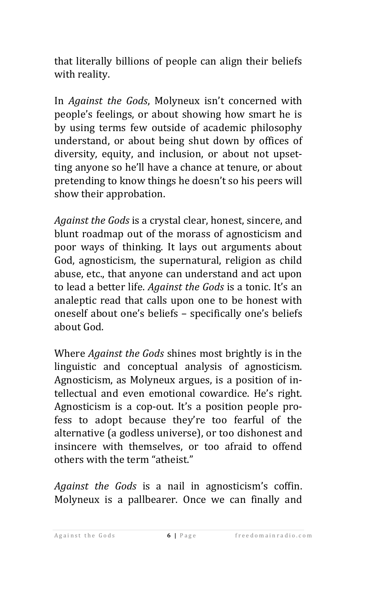that literally billions of people can align their beliefs with reality.

In *Against the Gods*, Molyneux isn't concerned with people's feelings, or about showing how smart he is by using terms few outside of academic philosophy understand, or about being shut down by offices of diversity, equity, and inclusion, or about not upsetting anyone so he'll have a chance at tenure, or about pretending to know things he doesn't so his peers will show their approbation.

*Against the Gods* is a crystal clear, honest, sincere, and blunt roadmap out of the morass of agnosticism and poor ways of thinking. It lays out arguments about God, agnosticism, the supernatural, religion as child abuse, etc., that anyone can understand and act upon to lead a better life. *Against the Gods* is a tonic. It's an analeptic read that calls upon one to be honest with oneself about one's beliefs – specifically one's beliefs about God.

Where *Against the Gods* shines most brightly is in the linguistic and conceptual analysis of agnosticism. Agnosticism, as Molyneux argues, is a position of intellectual and even emotional cowardice. He's right. Agnosticism is a cop-out. It's a position people profess to adopt because they're too fearful of the alternative (a godless universe), or too dishonest and insincere with themselves, or too afraid to offend others with the term "atheist."

*Against the Gods* is a nail in agnosticism's coffin. Molyneux is a pallbearer. Once we can finally and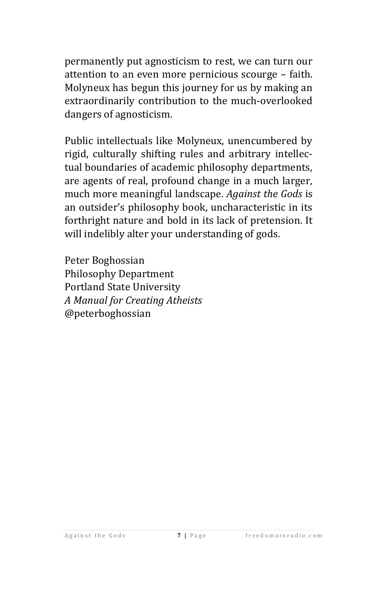permanently put agnosticism to rest, we can turn our attention to an even more pernicious scourge – faith. Molyneux has begun this journey for us by making an extraordinarily contribution to the much-overlooked dangers of agnosticism.

Public intellectuals like Molyneux, unencumbered by rigid, culturally shifting rules and arbitrary intellectual boundaries of academic philosophy departments, are agents of real, profound change in a much larger, much more meaningful landscape. *Against the Gods* is an outsider's philosophy book, uncharacteristic in its forthright nature and bold in its lack of pretension. It will indelibly alter your understanding of gods.

Peter Boghossian Philosophy Department Portland State University *A Manual for Creating Atheists*  @peterboghossian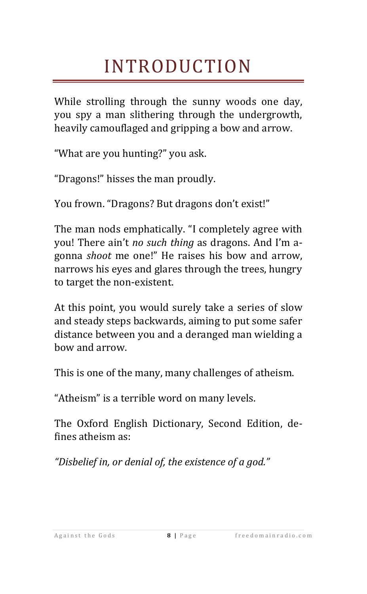### INTRODUCTION

<span id="page-7-0"></span>While strolling through the sunny woods one day. you spy a man slithering through the undergrowth, heavily camouflaged and gripping a bow and arrow.

"What are you hunting?" you ask.

"Dragons!" hisses the man proudly.

You frown. "Dragons? But dragons don't exist!"

The man nods emphatically. "I completely agree with you! There ain't *no such thing* as dragons. And I'm agonna *shoot* me one!" He raises his bow and arrow, narrows his eyes and glares through the trees, hungry to target the non-existent.

At this point, you would surely take a series of slow and steady steps backwards, aiming to put some safer distance between you and a deranged man wielding a bow and arrow.

This is one of the many, many challenges of atheism.

"Atheism" is a terrible word on many levels.

The Oxford English Dictionary, Second Edition, defines atheism as:

*"Disbelief in, or denial of, the existence of a god."*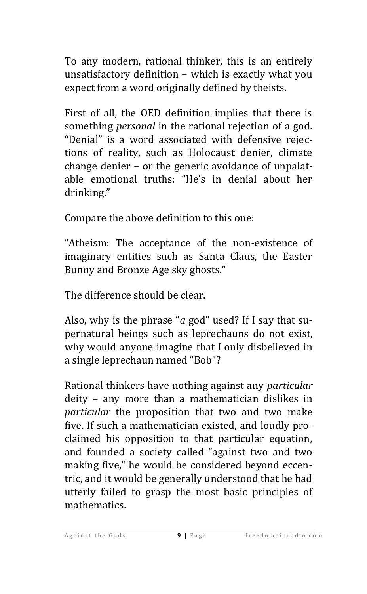To any modern, rational thinker, this is an entirely unsatisfactory definition – which is exactly what you expect from a word originally defined by theists.

First of all, the OED definition implies that there is something *personal* in the rational rejection of a god. "Denial" is a word associated with defensive rejections of reality, such as Holocaust denier, climate change denier – or the generic avoidance of unpalatable emotional truths: "He's in denial about her drinking."

Compare the above definition to this one:

"Atheism: The acceptance of the non-existence of imaginary entities such as Santa Claus, the Easter Bunny and Bronze Age sky ghosts."

The difference should be clear.

Also, why is the phrase "*a* god" used? If I say that supernatural beings such as leprechauns do not exist, why would anyone imagine that I only disbelieved in a single leprechaun named "Bob"?

Rational thinkers have nothing against any *particular* deity – any more than a mathematician dislikes in *particular* the proposition that two and two make five. If such a mathematician existed, and loudly proclaimed his opposition to that particular equation, and founded a society called "against two and two making five," he would be considered beyond eccentric, and it would be generally understood that he had utterly failed to grasp the most basic principles of mathematics.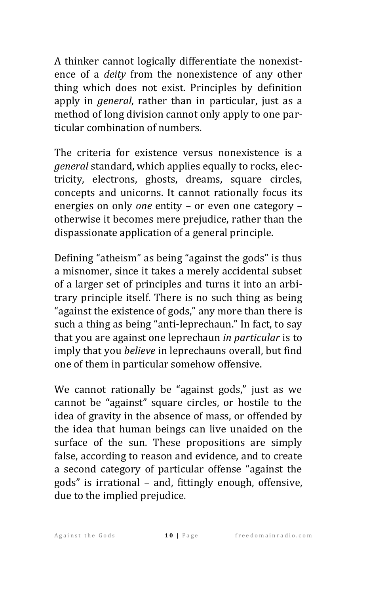A thinker cannot logically differentiate the nonexistence of a *deity* from the nonexistence of any other thing which does not exist. Principles by definition apply in *general*, rather than in particular, just as a method of long division cannot only apply to one particular combination of numbers.

The criteria for existence versus nonexistence is a *general* standard, which applies equally to rocks, electricity, electrons, ghosts, dreams, square circles, concepts and unicorns. It cannot rationally focus its energies on only *one* entity – or even one category – otherwise it becomes mere prejudice, rather than the dispassionate application of a general principle.

Defining "atheism" as being "against the gods" is thus a misnomer, since it takes a merely accidental subset of a larger set of principles and turns it into an arbitrary principle itself. There is no such thing as being "against the existence of gods," any more than there is such a thing as being "anti-leprechaun." In fact, to say that you are against one leprechaun *in particular* is to imply that you *believe* in leprechauns overall, but find one of them in particular somehow offensive.

We cannot rationally be "against gods," just as we cannot be "against" square circles, or hostile to the idea of gravity in the absence of mass, or offended by the idea that human beings can live unaided on the surface of the sun. These propositions are simply false, according to reason and evidence, and to create a second category of particular offense "against the gods" is irrational – and, fittingly enough, offensive, due to the implied prejudice.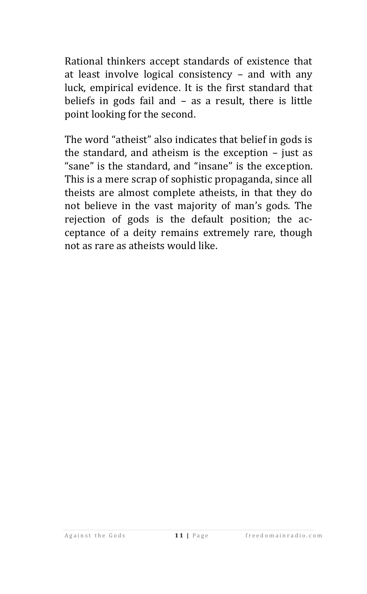Rational thinkers accept standards of existence that at least involve logical consistency – and with any luck, empirical evidence. It is the first standard that beliefs in gods fail and – as a result, there is little point looking for the second.

The word "atheist" also indicates that belief in gods is the standard, and atheism is the exception – just as "sane" is the standard, and "insane" is the exception. This is a mere scrap of sophistic propaganda, since all theists are almost complete atheists, in that they do not believe in the vast majority of man's gods. The rejection of gods is the default position; the acceptance of a deity remains extremely rare, though not as rare as atheists would like.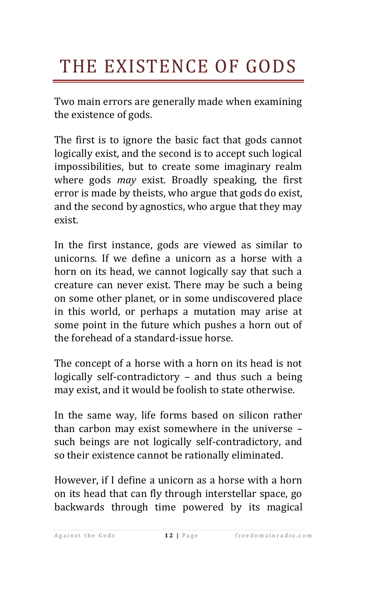### <span id="page-11-0"></span>THE EXISTENCE OF GODS

Two main errors are generally made when examining the existence of gods.

The first is to ignore the basic fact that gods cannot logically exist, and the second is to accept such logical impossibilities, but to create some imaginary realm where gods *may* exist. Broadly speaking, the first error is made by theists, who argue that gods do exist, and the second by agnostics, who argue that they may exist.

In the first instance, gods are viewed as similar to unicorns. If we define a unicorn as a horse with a horn on its head, we cannot logically say that such a creature can never exist. There may be such a being on some other planet, or in some undiscovered place in this world, or perhaps a mutation may arise at some point in the future which pushes a horn out of the forehead of a standard-issue horse.

The concept of a horse with a horn on its head is not logically self-contradictory – and thus such a being may exist, and it would be foolish to state otherwise.

In the same way, life forms based on silicon rather than carbon may exist somewhere in the universe – such beings are not logically self-contradictory, and so their existence cannot be rationally eliminated.

However, if I define a unicorn as a horse with a horn on its head that can fly through interstellar space, go backwards through time powered by its magical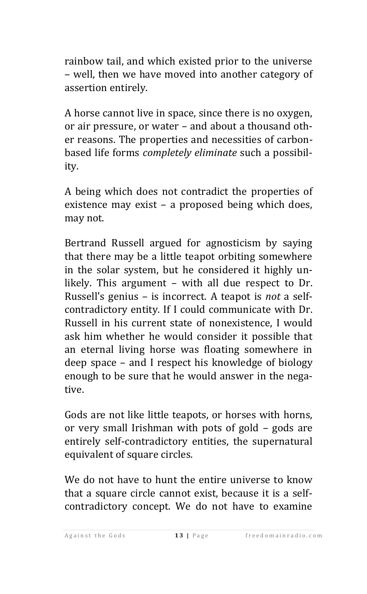rainbow tail, and which existed prior to the universe – well, then we have moved into another category of assertion entirely.

A horse cannot live in space, since there is no oxygen, or air pressure, or water – and about a thousand other reasons. The properties and necessities of carbonbased life forms *completely eliminate* such a possibility.

A being which does not contradict the properties of existence may exist – a proposed being which does, may not.

Bertrand Russell argued for agnosticism by saying that there may be a little teapot orbiting somewhere in the solar system, but he considered it highly unlikely. This argument – with all due respect to Dr. Russell's genius – is incorrect. A teapot is *not* a selfcontradictory entity. If I could communicate with Dr. Russell in his current state of nonexistence, I would ask him whether he would consider it possible that an eternal living horse was floating somewhere in deep space – and I respect his knowledge of biology enough to be sure that he would answer in the negative.

Gods are not like little teapots, or horses with horns, or very small Irishman with pots of gold – gods are entirely self-contradictory entities, the supernatural equivalent of square circles.

We do not have to hunt the entire universe to know that a square circle cannot exist, because it is a selfcontradictory concept. We do not have to examine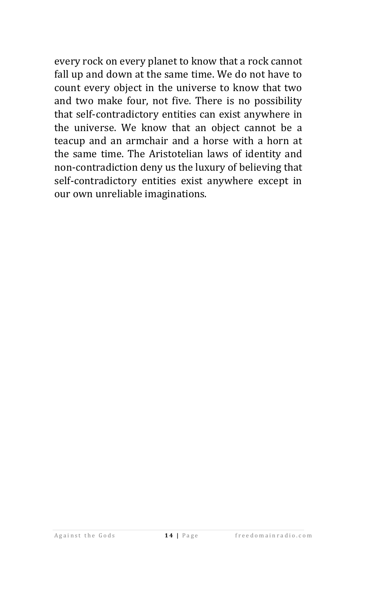every rock on every planet to know that a rock cannot fall up and down at the same time. We do not have to count every object in the universe to know that two and two make four, not five. There is no possibility that self-contradictory entities can exist anywhere in the universe. We know that an object cannot be a teacup and an armchair and a horse with a horn at the same time. The Aristotelian laws of identity and non-contradiction deny us the luxury of believing that self-contradictory entities exist anywhere except in our own unreliable imaginations.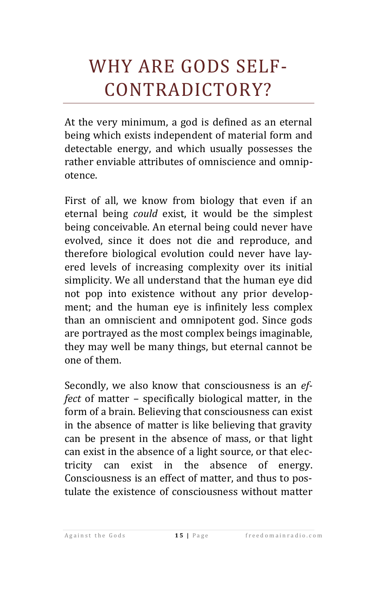#### <span id="page-14-0"></span>WHY ARE GODS SELF-CONTRADICTORY?

At the very minimum, a god is defined as an eternal being which exists independent of material form and detectable energy, and which usually possesses the rather enviable attributes of omniscience and omnipotence.

First of all, we know from biology that even if an eternal being *could* exist, it would be the simplest being conceivable. An eternal being could never have evolved, since it does not die and reproduce, and therefore biological evolution could never have layered levels of increasing complexity over its initial simplicity. We all understand that the human eye did not pop into existence without any prior development; and the human eye is infinitely less complex than an omniscient and omnipotent god. Since gods are portrayed as the most complex beings imaginable, they may well be many things, but eternal cannot be one of them.

Secondly, we also know that consciousness is an *effect* of matter – specifically biological matter, in the form of a brain. Believing that consciousness can exist in the absence of matter is like believing that gravity can be present in the absence of mass, or that light can exist in the absence of a light source, or that electricity can exist in the absence of energy. Consciousness is an effect of matter, and thus to postulate the existence of consciousness without matter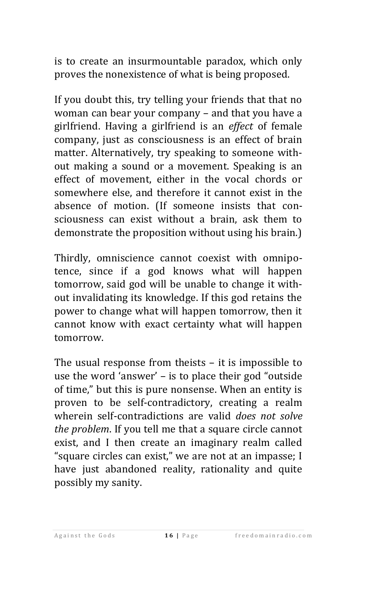is to create an insurmountable paradox, which only proves the nonexistence of what is being proposed.

If you doubt this, try telling your friends that that no woman can bear your company – and that you have a girlfriend. Having a girlfriend is an *effect* of female company, just as consciousness is an effect of brain matter. Alternatively, try speaking to someone without making a sound or a movement. Speaking is an effect of movement, either in the vocal chords or somewhere else, and therefore it cannot exist in the absence of motion. (If someone insists that consciousness can exist without a brain, ask them to demonstrate the proposition without using his brain.)

Thirdly, omniscience cannot coexist with omnipotence, since if a god knows what will happen tomorrow, said god will be unable to change it without invalidating its knowledge. If this god retains the power to change what will happen tomorrow, then it cannot know with exact certainty what will happen tomorrow.

The usual response from theists – it is impossible to use the word 'answer' – is to place their god "outside of time," but this is pure nonsense. When an entity is proven to be self-contradictory, creating a realm wherein self-contradictions are valid *does not solve the problem*. If you tell me that a square circle cannot exist, and I then create an imaginary realm called "square circles can exist," we are not at an impasse; I have just abandoned reality, rationality and quite possibly my sanity.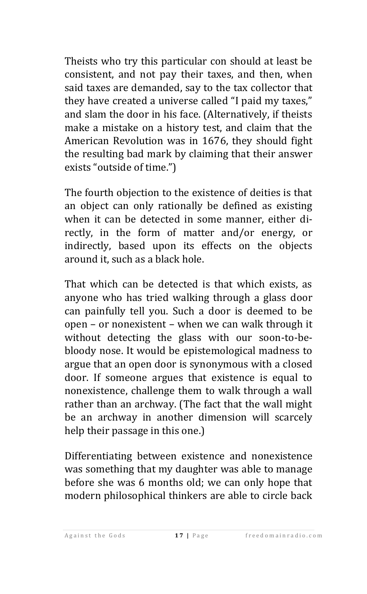Theists who try this particular con should at least be consistent, and not pay their taxes, and then, when said taxes are demanded, say to the tax collector that they have created a universe called "I paid my taxes," and slam the door in his face. (Alternatively, if theists make a mistake on a history test, and claim that the American Revolution was in 1676, they should fight the resulting bad mark by claiming that their answer exists "outside of time.")

The fourth objection to the existence of deities is that an object can only rationally be defined as existing when it can be detected in some manner, either directly, in the form of matter and/or energy, or indirectly, based upon its effects on the objects around it, such as a black hole.

That which can be detected is that which exists, as anyone who has tried walking through a glass door can painfully tell you. Such a door is deemed to be open – or nonexistent – when we can walk through it without detecting the glass with our soon-to-bebloody nose. It would be epistemological madness to argue that an open door is synonymous with a closed door. If someone argues that existence is equal to nonexistence, challenge them to walk through a wall rather than an archway. (The fact that the wall might be an archway in another dimension will scarcely help their passage in this one.)

Differentiating between existence and nonexistence was something that my daughter was able to manage before she was 6 months old; we can only hope that modern philosophical thinkers are able to circle back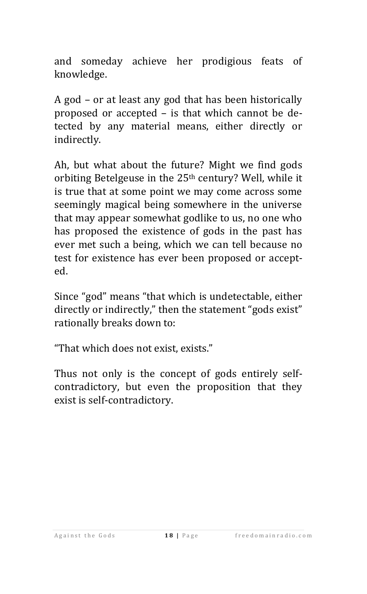and someday achieve her prodigious feats of knowledge.

A god – or at least any god that has been historically proposed or accepted – is that which cannot be detected by any material means, either directly or indirectly.

Ah, but what about the future? Might we find gods orbiting Betelgeuse in the 25<sup>th</sup> century? Well, while it is true that at some point we may come across some seemingly magical being somewhere in the universe that may appear somewhat godlike to us, no one who has proposed the existence of gods in the past has ever met such a being, which we can tell because no test for existence has ever been proposed or accepted.

Since "god" means "that which is undetectable, either directly or indirectly," then the statement "gods exist" rationally breaks down to:

"That which does not exist, exists."

Thus not only is the concept of gods entirely selfcontradictory, but even the proposition that they exist is self-contradictory.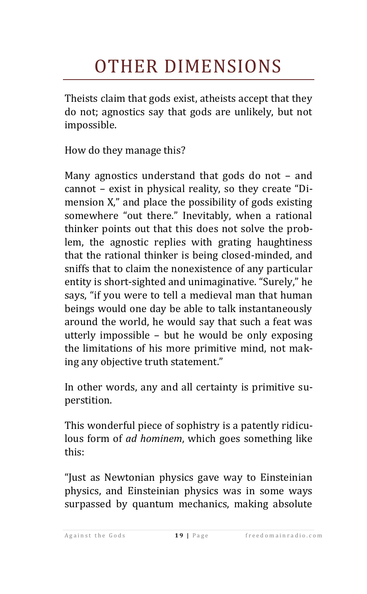### <span id="page-18-0"></span>OTHER DIMENSIONS

Theists claim that gods exist, atheists accept that they do not; agnostics say that gods are unlikely, but not impossible.

How do they manage this?

Many agnostics understand that gods do not – and cannot – exist in physical reality, so they create "Dimension X," and place the possibility of gods existing somewhere "out there." Inevitably, when a rational thinker points out that this does not solve the problem, the agnostic replies with grating haughtiness that the rational thinker is being closed-minded, and sniffs that to claim the nonexistence of any particular entity is short-sighted and unimaginative. "Surely," he says, "if you were to tell a medieval man that human beings would one day be able to talk instantaneously around the world, he would say that such a feat was utterly impossible – but he would be only exposing the limitations of his more primitive mind, not making any objective truth statement."

In other words, any and all certainty is primitive superstition.

This wonderful piece of sophistry is a patently ridiculous form of *ad hominem*, which goes something like this:

"Just as Newtonian physics gave way to Einsteinian physics, and Einsteinian physics was in some ways surpassed by quantum mechanics, making absolute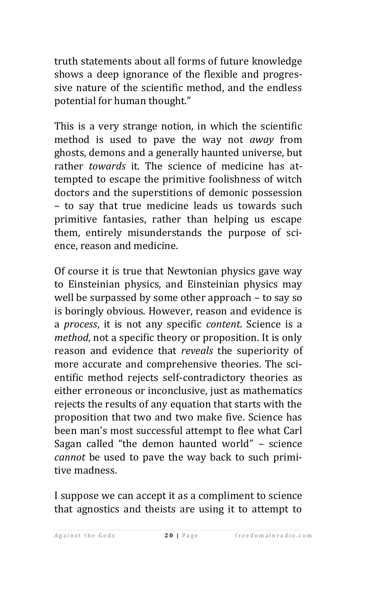truth statements about all forms of future knowledge shows a deep ignorance of the flexible and progressive nature of the scientific method, and the endless potential for human thought."

This is a very strange notion, in which the scientific method is used to pave the way not *away* from ghosts, demons and a generally haunted universe, but rather *towards* it. The science of medicine has attempted to escape the primitive foolishness of witch doctors and the superstitions of demonic possession – to say that true medicine leads us towards such primitive fantasies, rather than helping us escape them, entirely misunderstands the purpose of science, reason and medicine.

Of course it is true that Newtonian physics gave way to Einsteinian physics, and Einsteinian physics may well be surpassed by some other approach – to say so is boringly obvious. However, reason and evidence is a *process*, it is not any specific *content*. Science is a *method*, not a specific theory or proposition. It is only reason and evidence that *reveals* the superiority of more accurate and comprehensive theories. The scientific method rejects self-contradictory theories as either erroneous or inconclusive, just as mathematics rejects the results of any equation that starts with the proposition that two and two make five. Science has been man's most successful attempt to flee what Carl Sagan called "the demon haunted world" – science *cannot* be used to pave the way back to such primitive madness.

I suppose we can accept it as a compliment to science that agnostics and theists are using it to attempt to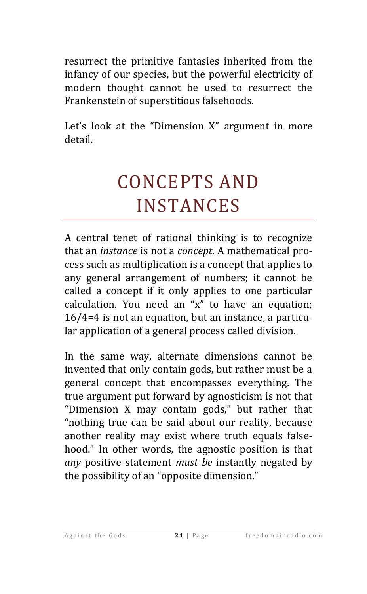resurrect the primitive fantasies inherited from the infancy of our species, but the powerful electricity of modern thought cannot be used to resurrect the Frankenstein of superstitious falsehoods.

<span id="page-20-0"></span>Let's look at the "Dimension X" argument in more detail.

## CONCEPTS AND INSTANCES

A central tenet of rational thinking is to recognize that an *instance* is not a *concept*. A mathematical process such as multiplication is a concept that applies to any general arrangement of numbers; it cannot be called a concept if it only applies to one particular calculation. You need an "x" to have an equation; 16/4=4 is not an equation, but an instance, a particular application of a general process called division.

In the same way, alternate dimensions cannot be invented that only contain gods, but rather must be a general concept that encompasses everything. The true argument put forward by agnosticism is not that "Dimension X may contain gods," but rather that "nothing true can be said about our reality, because another reality may exist where truth equals falsehood." In other words, the agnostic position is that *any* positive statement *must be* instantly negated by the possibility of an "opposite dimension."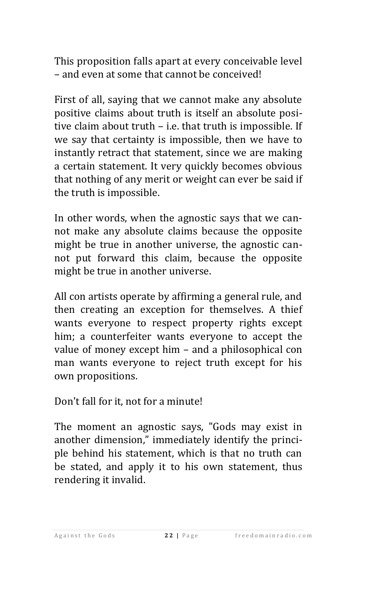This proposition falls apart at every conceivable level – and even at some that cannot be conceived!

First of all, saying that we cannot make any absolute positive claims about truth is itself an absolute positive claim about truth – i.e. that truth is impossible. If we say that certainty is impossible, then we have to instantly retract that statement, since we are making a certain statement. It very quickly becomes obvious that nothing of any merit or weight can ever be said if the truth is impossible.

In other words, when the agnostic says that we cannot make any absolute claims because the opposite might be true in another universe, the agnostic cannot put forward this claim, because the opposite might be true in another universe.

All con artists operate by affirming a general rule, and then creating an exception for themselves. A thief wants everyone to respect property rights except him; a counterfeiter wants everyone to accept the value of money except him – and a philosophical con man wants everyone to reject truth except for his own propositions.

Don't fall for it, not for a minute!

The moment an agnostic says, "Gods may exist in another dimension," immediately identify the principle behind his statement, which is that no truth can be stated, and apply it to his own statement, thus rendering it invalid.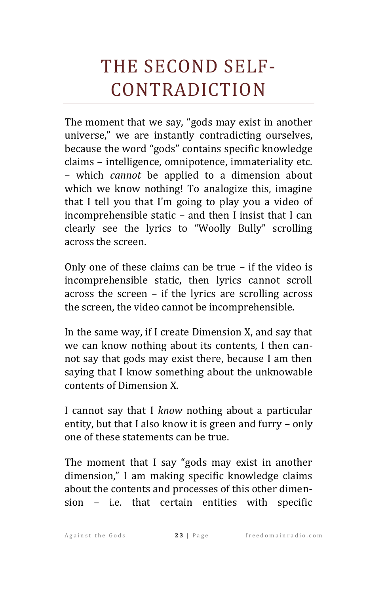#### <span id="page-22-0"></span>THE SECOND SELF-CONTRADICTION

The moment that we say, "gods may exist in another universe," we are instantly contradicting ourselves, because the word "gods" contains specific knowledge claims – intelligence, omnipotence, immateriality etc. – which *cannot* be applied to a dimension about which we know nothing! To analogize this, imagine that I tell you that I'm going to play you a video of incomprehensible static – and then I insist that I can clearly see the lyrics to "Woolly Bully" scrolling across the screen.

Only one of these claims can be true – if the video is incomprehensible static, then lyrics cannot scroll across the screen – if the lyrics are scrolling across the screen, the video cannot be incomprehensible.

In the same way, if I create Dimension X, and say that we can know nothing about its contents, I then cannot say that gods may exist there, because I am then saying that I know something about the unknowable contents of Dimension X.

I cannot say that I *know* nothing about a particular entity, but that I also know it is green and furry – only one of these statements can be true.

The moment that I say "gods may exist in another dimension," I am making specific knowledge claims about the contents and processes of this other dimension – i.e. that certain entities with specific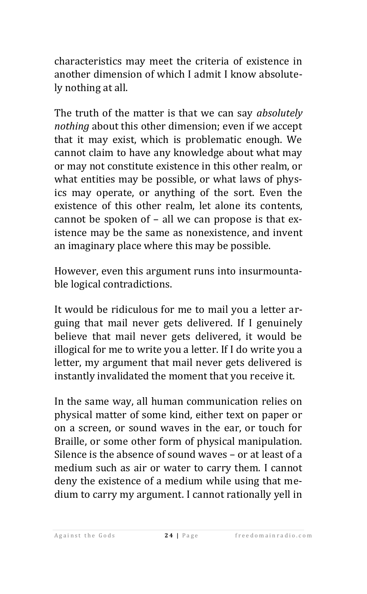characteristics may meet the criteria of existence in another dimension of which I admit I know absolutely nothing at all.

The truth of the matter is that we can say *absolutely nothing* about this other dimension; even if we accept that it may exist, which is problematic enough. We cannot claim to have any knowledge about what may or may not constitute existence in this other realm, or what entities may be possible, or what laws of physics may operate, or anything of the sort. Even the existence of this other realm, let alone its contents, cannot be spoken of – all we can propose is that existence may be the same as nonexistence, and invent an imaginary place where this may be possible.

However, even this argument runs into insurmountable logical contradictions.

It would be ridiculous for me to mail you a letter arguing that mail never gets delivered. If I genuinely believe that mail never gets delivered, it would be illogical for me to write you a letter. If I do write you a letter, my argument that mail never gets delivered is instantly invalidated the moment that you receive it.

In the same way, all human communication relies on physical matter of some kind, either text on paper or on a screen, or sound waves in the ear, or touch for Braille, or some other form of physical manipulation. Silence is the absence of sound waves – or at least of a medium such as air or water to carry them. I cannot deny the existence of a medium while using that medium to carry my argument. I cannot rationally yell in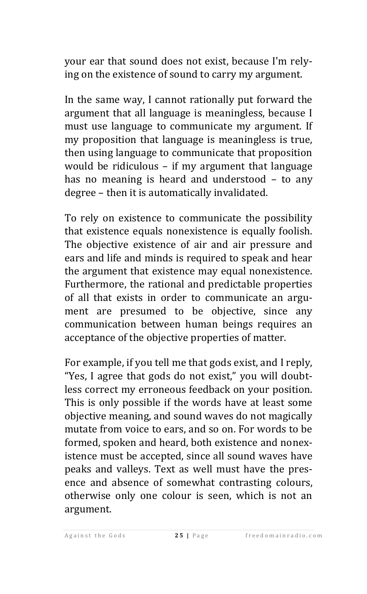your ear that sound does not exist, because I'm relying on the existence of sound to carry my argument.

In the same way, I cannot rationally put forward the argument that all language is meaningless, because I must use language to communicate my argument. If my proposition that language is meaningless is true, then using language to communicate that proposition would be ridiculous – if my argument that language has no meaning is heard and understood – to any degree – then it is automatically invalidated.

To rely on existence to communicate the possibility that existence equals nonexistence is equally foolish. The objective existence of air and air pressure and ears and life and minds is required to speak and hear the argument that existence may equal nonexistence. Furthermore, the rational and predictable properties of all that exists in order to communicate an argument are presumed to be objective, since any communication between human beings requires an acceptance of the objective properties of matter.

For example, if you tell me that gods exist, and I reply, "Yes, I agree that gods do not exist," you will doubtless correct my erroneous feedback on your position. This is only possible if the words have at least some objective meaning, and sound waves do not magically mutate from voice to ears, and so on. For words to be formed, spoken and heard, both existence and nonexistence must be accepted, since all sound waves have peaks and valleys. Text as well must have the presence and absence of somewhat contrasting colours, otherwise only one colour is seen, which is not an argument.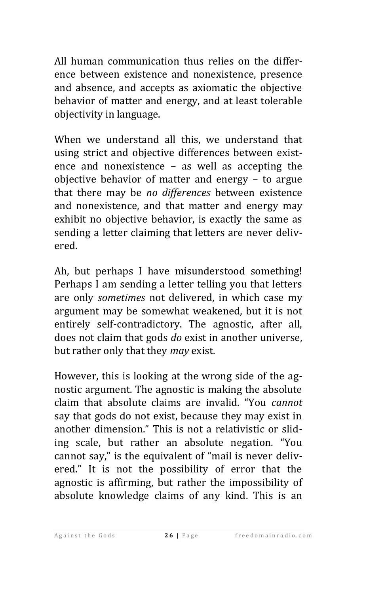All human communication thus relies on the difference between existence and nonexistence, presence and absence, and accepts as axiomatic the objective behavior of matter and energy, and at least tolerable objectivity in language.

When we understand all this, we understand that using strict and objective differences between existence and nonexistence – as well as accepting the objective behavior of matter and energy – to argue that there may be *no differences* between existence and nonexistence, and that matter and energy may exhibit no objective behavior, is exactly the same as sending a letter claiming that letters are never delivered.

Ah, but perhaps I have misunderstood something! Perhaps I am sending a letter telling you that letters are only *sometimes* not delivered, in which case my argument may be somewhat weakened, but it is not entirely self-contradictory. The agnostic, after all, does not claim that gods *do* exist in another universe, but rather only that they *may* exist.

However, this is looking at the wrong side of the agnostic argument. The agnostic is making the absolute claim that absolute claims are invalid. "You *cannot* say that gods do not exist, because they may exist in another dimension." This is not a relativistic or sliding scale, but rather an absolute negation. "You cannot say," is the equivalent of "mail is never delivered." It is not the possibility of error that the agnostic is affirming, but rather the impossibility of absolute knowledge claims of any kind. This is an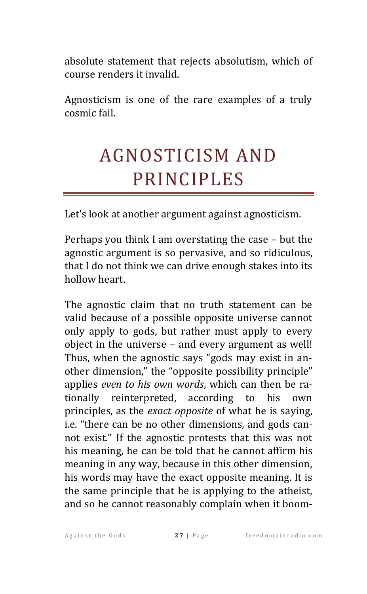absolute statement that rejects absolutism, which of course renders it invalid.

<span id="page-26-0"></span>Agnosticism is one of the rare examples of a truly cosmic fail.

#### AGNOSTICISM AND PRINCIPLES

Let's look at another argument against agnosticism.

Perhaps you think I am overstating the case – but the agnostic argument is so pervasive, and so ridiculous, that I do not think we can drive enough stakes into its hollow heart.

The agnostic claim that no truth statement can be valid because of a possible opposite universe cannot only apply to gods, but rather must apply to every object in the universe – and every argument as well! Thus, when the agnostic says "gods may exist in another dimension," the "opposite possibility principle" applies *even to his own words*, which can then be rationally reinterpreted, according to his own principles, as the *exact opposite* of what he is saying, i.e. "there can be no other dimensions, and gods cannot exist." If the agnostic protests that this was not his meaning, he can be told that he cannot affirm his meaning in any way, because in this other dimension, his words may have the exact opposite meaning. It is the same principle that he is applying to the atheist, and so he cannot reasonably complain when it boom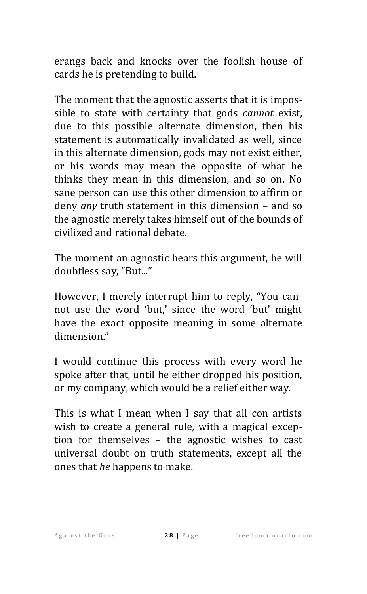erangs back and knocks over the foolish house of cards he is pretending to build.

The moment that the agnostic asserts that it is impossible to state with certainty that gods *cannot* exist, due to this possible alternate dimension, then his statement is automatically invalidated as well, since in this alternate dimension, gods may not exist either, or his words may mean the opposite of what he thinks they mean in this dimension, and so on. No sane person can use this other dimension to affirm or deny *any* truth statement in this dimension – and so the agnostic merely takes himself out of the bounds of civilized and rational debate.

The moment an agnostic hears this argument, he will doubtless say, "But..."

However, I merely interrupt him to reply, "You cannot use the word 'but,' since the word 'but' might have the exact opposite meaning in some alternate dimension."

I would continue this process with every word he spoke after that, until he either dropped his position, or my company, which would be a relief either way.

This is what I mean when I say that all con artists wish to create a general rule, with a magical exception for themselves – the agnostic wishes to cast universal doubt on truth statements, except all the ones that *he* happens to make.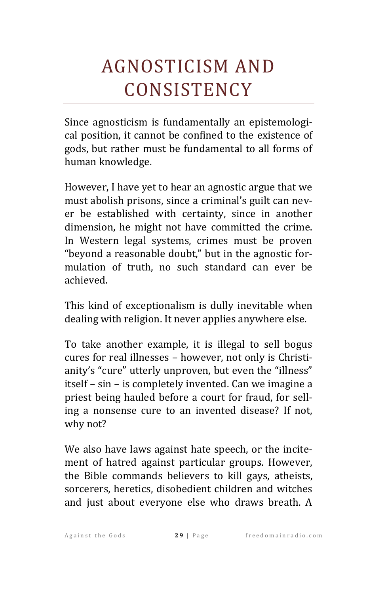#### <span id="page-28-0"></span>AGNOSTICISM AND **CONSISTENCY**

Since agnosticism is fundamentally an epistemological position, it cannot be confined to the existence of gods, but rather must be fundamental to all forms of human knowledge.

However, I have yet to hear an agnostic argue that we must abolish prisons, since a criminal's guilt can never be established with certainty, since in another dimension, he might not have committed the crime. In Western legal systems, crimes must be proven "beyond a reasonable doubt," but in the agnostic formulation of truth, no such standard can ever be achieved.

This kind of exceptionalism is dully inevitable when dealing with religion. It never applies anywhere else.

To take another example, it is illegal to sell bogus cures for real illnesses – however, not only is Christianity's "cure" utterly unproven, but even the "illness" itself – sin – is completely invented. Can we imagine a priest being hauled before a court for fraud, for selling a nonsense cure to an invented disease? If not, why not?

We also have laws against hate speech, or the incitement of hatred against particular groups. However, the Bible commands believers to kill gays, atheists, sorcerers, heretics, disobedient children and witches and just about everyone else who draws breath. A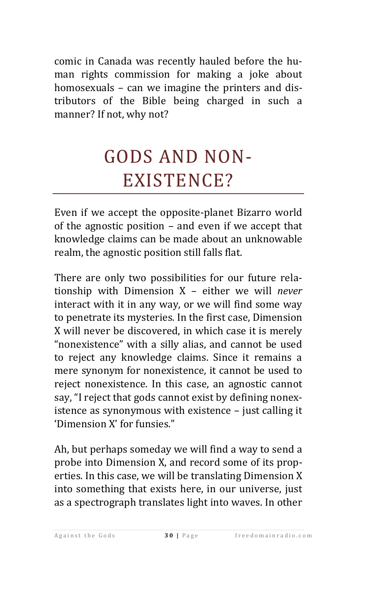comic in Canada was recently hauled before the human rights commission for making a joke about homosexuals – can we imagine the printers and distributors of the Bible being charged in such a manner? If not, why not?

### <span id="page-29-0"></span>GODS AND NON-EXISTENCE?

Even if we accept the opposite-planet Bizarro world of the agnostic position – and even if we accept that knowledge claims can be made about an unknowable realm, the agnostic position still falls flat.

There are only two possibilities for our future relationship with Dimension X – either we will *never* interact with it in any way, or we will find some way to penetrate its mysteries. In the first case, Dimension X will never be discovered, in which case it is merely "nonexistence" with a silly alias, and cannot be used to reject any knowledge claims. Since it remains a mere synonym for nonexistence, it cannot be used to reject nonexistence. In this case, an agnostic cannot say, "I reject that gods cannot exist by defining nonexistence as synonymous with existence – just calling it 'Dimension X' for funsies."

Ah, but perhaps someday we will find a way to send a probe into Dimension X, and record some of its properties. In this case, we will be translating Dimension X into something that exists here, in our universe, just as a spectrograph translates light into waves. In other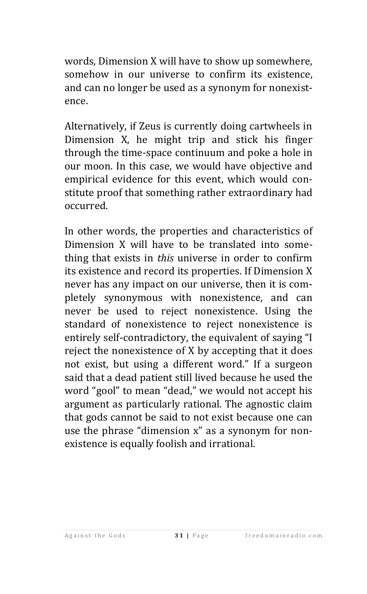words, Dimension X will have to show up somewhere, somehow in our universe to confirm its existence, and can no longer be used as a synonym for nonexistence.

Alternatively, if Zeus is currently doing cartwheels in Dimension X, he might trip and stick his finger through the time-space continuum and poke a hole in our moon. In this case, we would have objective and empirical evidence for this event, which would constitute proof that something rather extraordinary had occurred.

In other words, the properties and characteristics of Dimension X will have to be translated into something that exists in *this* universe in order to confirm its existence and record its properties. If Dimension X never has any impact on our universe, then it is completely synonymous with nonexistence, and can never be used to reject nonexistence. Using the standard of nonexistence to reject nonexistence is entirely self-contradictory, the equivalent of saying "I reject the nonexistence of X by accepting that it does not exist, but using a different word." If a surgeon said that a dead patient still lived because he used the word "gool" to mean "dead," we would not accept his argument as particularly rational. The agnostic claim that gods cannot be said to not exist because one can use the phrase "dimension x" as a synonym for nonexistence is equally foolish and irrational.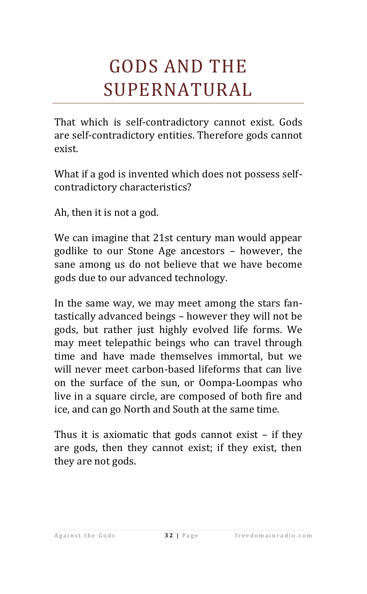#### <span id="page-31-0"></span>GODS AND THE SUPERNATURAL

That which is self-contradictory cannot exist. Gods are self-contradictory entities. Therefore gods cannot exist.

What if a god is invented which does not possess selfcontradictory characteristics?

Ah, then it is not a god.

We can imagine that 21st century man would appear godlike to our Stone Age ancestors – however, the sane among us do not believe that we have become gods due to our advanced technology.

In the same way, we may meet among the stars fantastically advanced beings – however they will not be gods, but rather just highly evolved life forms. We may meet telepathic beings who can travel through time and have made themselves immortal, but we will never meet carbon-based lifeforms that can live on the surface of the sun, or Oompa-Loompas who live in a square circle, are composed of both fire and ice, and can go North and South at the same time.

Thus it is axiomatic that gods cannot exist – if they are gods, then they cannot exist; if they exist, then they are not gods.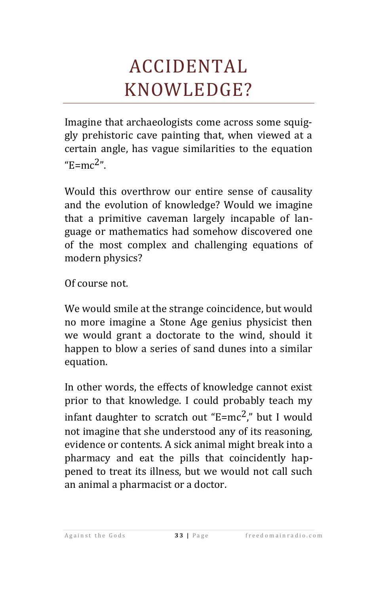#### ACCIDENTAL KNOWLEDGE?

<span id="page-32-0"></span>Imagine that archaeologists come across some squiggly prehistoric cave painting that, when viewed at a certain angle, has vague similarities to the equation " $E=mc^2$ "

Would this overthrow our entire sense of causality and the evolution of knowledge? Would we imagine that a primitive caveman largely incapable of language or mathematics had somehow discovered one of the most complex and challenging equations of modern physics?

Of course not.

We would smile at the strange coincidence, but would no more imagine a Stone Age genius physicist then we would grant a doctorate to the wind, should it happen to blow a series of sand dunes into a similar equation.

In other words, the effects of knowledge cannot exist prior to that knowledge. I could probably teach my infant daughter to scratch out " $E=mc^2$ ," but I would not imagine that she understood any of its reasoning, evidence or contents. A sick animal might break into a pharmacy and eat the pills that coincidently happened to treat its illness, but we would not call such an animal a pharmacist or a doctor.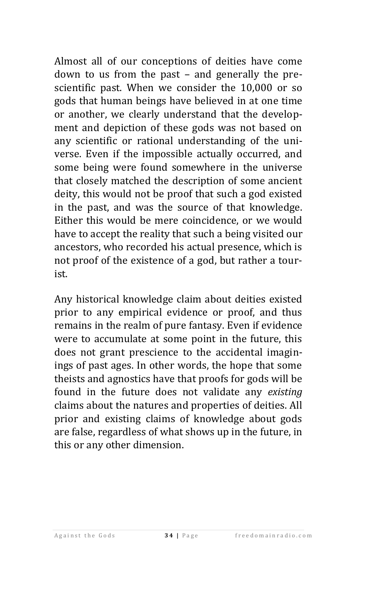Almost all of our conceptions of deities have come down to us from the past – and generally the prescientific past. When we consider the 10,000 or so gods that human beings have believed in at one time or another, we clearly understand that the development and depiction of these gods was not based on any scientific or rational understanding of the universe. Even if the impossible actually occurred, and some being were found somewhere in the universe that closely matched the description of some ancient deity, this would not be proof that such a god existed in the past, and was the source of that knowledge. Either this would be mere coincidence, or we would have to accept the reality that such a being visited our ancestors, who recorded his actual presence, which is not proof of the existence of a god, but rather a tourist.

Any historical knowledge claim about deities existed prior to any empirical evidence or proof, and thus remains in the realm of pure fantasy. Even if evidence were to accumulate at some point in the future, this does not grant prescience to the accidental imaginings of past ages. In other words, the hope that some theists and agnostics have that proofs for gods will be found in the future does not validate any *existing* claims about the natures and properties of deities. All prior and existing claims of knowledge about gods are false, regardless of what shows up in the future, in this or any other dimension.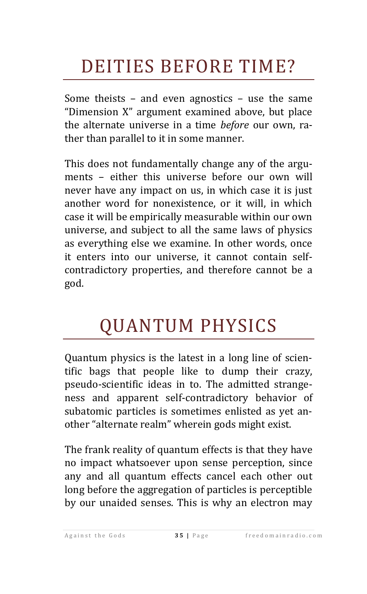### <span id="page-34-0"></span>DEITIES BEFORE TIME?

Some theists – and even agnostics – use the same "Dimension X" argument examined above, but place the alternate universe in a time *before* our own, rather than parallel to it in some manner.

This does not fundamentally change any of the arguments – either this universe before our own will never have any impact on us, in which case it is just another word for nonexistence, or it will, in which case it will be empirically measurable within our own universe, and subject to all the same laws of physics as everything else we examine. In other words, once it enters into our universe, it cannot contain selfcontradictory properties, and therefore cannot be a god.

#### <span id="page-34-1"></span>QUANTUM PHYSICS

Quantum physics is the latest in a long line of scientific bags that people like to dump their crazy, pseudo-scientific ideas in to. The admitted strangeness and apparent self-contradictory behavior of subatomic particles is sometimes enlisted as yet another "alternate realm" wherein gods might exist.

The frank reality of quantum effects is that they have no impact whatsoever upon sense perception, since any and all quantum effects cancel each other out long before the aggregation of particles is perceptible by our unaided senses. This is why an electron may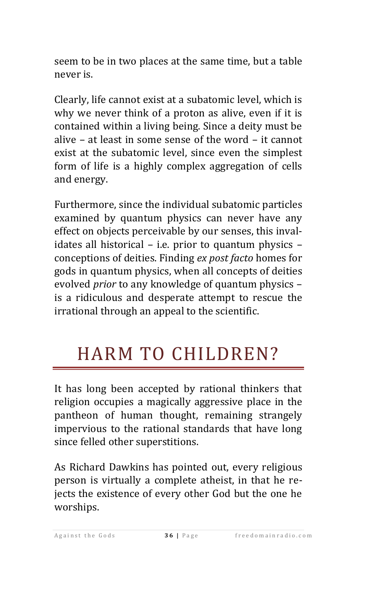seem to be in two places at the same time, but a table never is.

Clearly, life cannot exist at a subatomic level, which is why we never think of a proton as alive, even if it is contained within a living being. Since a deity must be alive – at least in some sense of the word – it cannot exist at the subatomic level, since even the simplest form of life is a highly complex aggregation of cells and energy.

Furthermore, since the individual subatomic particles examined by quantum physics can never have any effect on objects perceivable by our senses, this invalidates all historical – i.e. prior to quantum physics – conceptions of deities. Finding *ex post facto* homes for gods in quantum physics, when all concepts of deities evolved *prior* to any knowledge of quantum physics – is a ridiculous and desperate attempt to rescue the irrational through an appeal to the scientific.

## <span id="page-35-0"></span>HARM TO CHILDREN?

It has long been accepted by rational thinkers that religion occupies a magically aggressive place in the pantheon of human thought, remaining strangely impervious to the rational standards that have long since felled other superstitions.

As Richard Dawkins has pointed out, every religious person is virtually a complete atheist, in that he rejects the existence of every other God but the one he worships.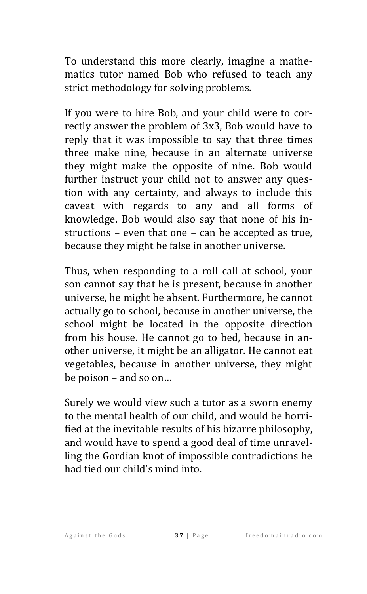To understand this more clearly, imagine a mathematics tutor named Bob who refused to teach any strict methodology for solving problems.

If you were to hire Bob, and your child were to correctly answer the problem of 3x3, Bob would have to reply that it was impossible to say that three times three make nine, because in an alternate universe they might make the opposite of nine. Bob would further instruct your child not to answer any question with any certainty, and always to include this caveat with regards to any and all forms of knowledge. Bob would also say that none of his instructions – even that one – can be accepted as true, because they might be false in another universe.

Thus, when responding to a roll call at school, your son cannot say that he is present, because in another universe, he might be absent. Furthermore, he cannot actually go to school, because in another universe, the school might be located in the opposite direction from his house. He cannot go to bed, because in another universe, it might be an alligator. He cannot eat vegetables, because in another universe, they might be poison – and so on…

Surely we would view such a tutor as a sworn enemy to the mental health of our child, and would be horrified at the inevitable results of his bizarre philosophy, and would have to spend a good deal of time unravelling the Gordian knot of impossible contradictions he had tied our child's mind into.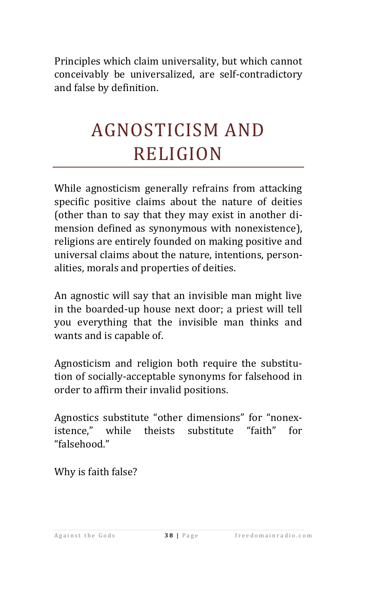Principles which claim universality, but which cannot conceivably be universalized, are self-contradictory and false by definition.

#### AGNOSTICISM AND RELIGION

While agnosticism generally refrains from attacking specific positive claims about the nature of deities (other than to say that they may exist in another dimension defined as synonymous with nonexistence), religions are entirely founded on making positive and universal claims about the nature, intentions, personalities, morals and properties of deities.

An agnostic will say that an invisible man might live in the boarded-up house next door; a priest will tell you everything that the invisible man thinks and wants and is capable of.

Agnosticism and religion both require the substitution of socially-acceptable synonyms for falsehood in order to affirm their invalid positions.

Agnostics substitute "other dimensions" for "nonexistence," while theists substitute "faith" for "falsehood."

Why is faith false?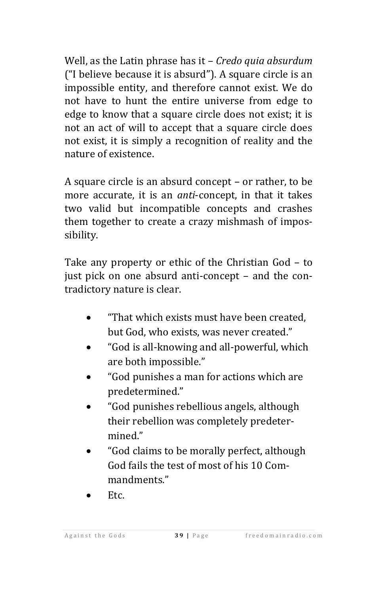Well, as the Latin phrase has it – *Credo quia absurdum* ("I believe because it is absurd"). A square circle is an impossible entity, and therefore cannot exist. We do not have to hunt the entire universe from edge to edge to know that a square circle does not exist; it is not an act of will to accept that a square circle does not exist, it is simply a recognition of reality and the nature of existence.

A square circle is an absurd concept – or rather, to be more accurate, it is an *anti*-concept, in that it takes two valid but incompatible concepts and crashes them together to create a crazy mishmash of impossibility.

Take any property or ethic of the Christian God – to just pick on one absurd anti-concept – and the contradictory nature is clear.

- "That which exists must have been created, but God, who exists, was never created."
- "God is all-knowing and all-powerful, which are both impossible."
- "God punishes a man for actions which are predetermined."
- "God punishes rebellious angels, although their rebellion was completely predetermined."
- "God claims to be morally perfect, although God fails the test of most of his 10 Commandments."
- Etc.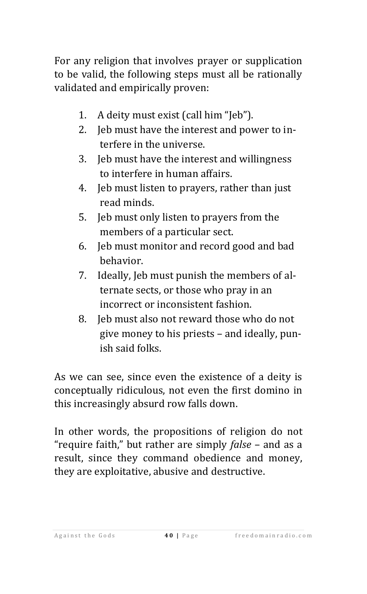For any religion that involves prayer or supplication to be valid, the following steps must all be rationally validated and empirically proven:

- 1. A deity must exist (call him "Jeb").
- 2. Jeb must have the interest and power to interfere in the universe.
- 3. Jeb must have the interest and willingness to interfere in human affairs.
- 4. Jeb must listen to prayers, rather than just read minds.
- 5. Jeb must only listen to prayers from the members of a particular sect.
- 6. Jeb must monitor and record good and bad behavior.
- 7. Ideally, Jeb must punish the members of alternate sects, or those who pray in an incorrect or inconsistent fashion.
- 8. Jeb must also not reward those who do not give money to his priests – and ideally, punish said folks.

As we can see, since even the existence of a deity is conceptually ridiculous, not even the first domino in this increasingly absurd row falls down.

In other words, the propositions of religion do not "require faith," but rather are simply *false* – and as a result, since they command obedience and money, they are exploitative, abusive and destructive.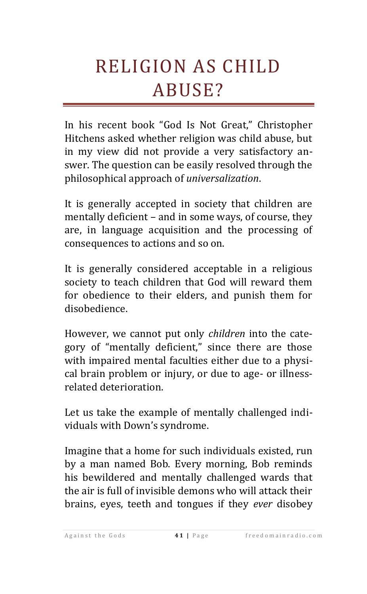### RELIGION AS CHILD ABUSE?

In his recent book "God Is Not Great," Christopher Hitchens asked whether religion was child abuse, but in my view did not provide a very satisfactory answer. The question can be easily resolved through the philosophical approach of *universalization*.

It is generally accepted in society that children are mentally deficient – and in some ways, of course, they are, in language acquisition and the processing of consequences to actions and so on.

It is generally considered acceptable in a religious society to teach children that God will reward them for obedience to their elders, and punish them for disobedience.

However, we cannot put only *children* into the category of "mentally deficient," since there are those with impaired mental faculties either due to a physical brain problem or injury, or due to age- or illnessrelated deterioration.

Let us take the example of mentally challenged individuals with Down's syndrome.

Imagine that a home for such individuals existed, run by a man named Bob. Every morning, Bob reminds his bewildered and mentally challenged wards that the air is full of invisible demons who will attack their brains, eyes, teeth and tongues if they *ever* disobey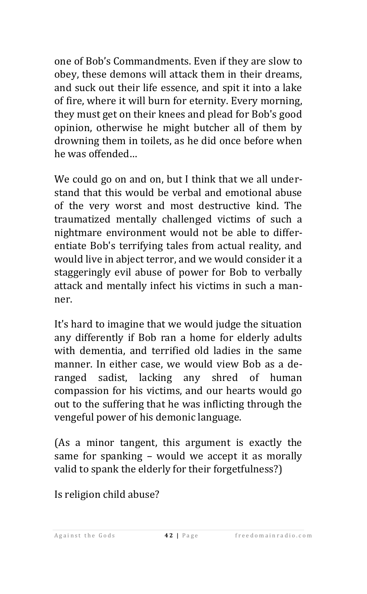one of Bob's Commandments. Even if they are slow to obey, these demons will attack them in their dreams, and suck out their life essence, and spit it into a lake of fire, where it will burn for eternity. Every morning, they must get on their knees and plead for Bob's good opinion, otherwise he might butcher all of them by drowning them in toilets, as he did once before when he was offended…

We could go on and on, but I think that we all understand that this would be verbal and emotional abuse of the very worst and most destructive kind. The traumatized mentally challenged victims of such a nightmare environment would not be able to differentiate Bob's terrifying tales from actual reality, and would live in abject terror, and we would consider it a staggeringly evil abuse of power for Bob to verbally attack and mentally infect his victims in such a manner.

It's hard to imagine that we would judge the situation any differently if Bob ran a home for elderly adults with dementia, and terrified old ladies in the same manner. In either case, we would view Bob as a deranged sadist, lacking any shred of human compassion for his victims, and our hearts would go out to the suffering that he was inflicting through the vengeful power of his demonic language.

(As a minor tangent, this argument is exactly the same for spanking – would we accept it as morally valid to spank the elderly for their forgetfulness?)

Is religion child abuse?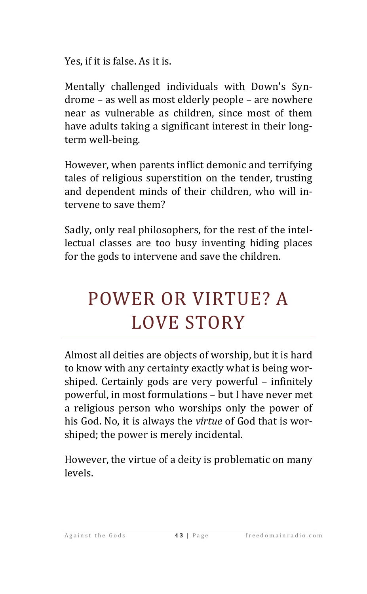Yes, if it is false. As it is.

Mentally challenged individuals with Down's Syndrome – as well as most elderly people – are nowhere near as vulnerable as children, since most of them have adults taking a significant interest in their longterm well-being.

However, when parents inflict demonic and terrifying tales of religious superstition on the tender, trusting and dependent minds of their children, who will intervene to save them?

Sadly, only real philosophers, for the rest of the intellectual classes are too busy inventing hiding places for the gods to intervene and save the children.

## POWER OR VIRTUE? A LOVE STORY

Almost all deities are objects of worship, but it is hard to know with any certainty exactly what is being worshiped. Certainly gods are very powerful – infinitely powerful, in most formulations – but I have never met a religious person who worships only the power of his God. No, it is always the *virtue* of God that is worshiped; the power is merely incidental.

However, the virtue of a deity is problematic on many levels.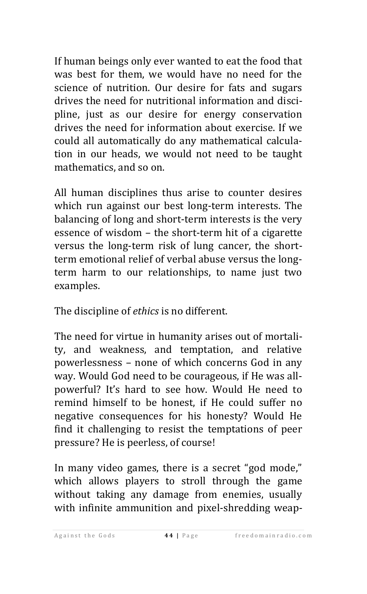If human beings only ever wanted to eat the food that was best for them, we would have no need for the science of nutrition. Our desire for fats and sugars drives the need for nutritional information and discipline, just as our desire for energy conservation drives the need for information about exercise. If we could all automatically do any mathematical calculation in our heads, we would not need to be taught mathematics, and so on.

All human disciplines thus arise to counter desires which run against our best long-term interests. The balancing of long and short-term interests is the very essence of wisdom – the short-term hit of a cigarette versus the long-term risk of lung cancer, the shortterm emotional relief of verbal abuse versus the longterm harm to our relationships, to name just two examples.

The discipline of *ethics* is no different.

The need for virtue in humanity arises out of mortality, and weakness, and temptation, and relative powerlessness – none of which concerns God in any way. Would God need to be courageous, if He was allpowerful? It's hard to see how. Would He need to remind himself to be honest, if He could suffer no negative consequences for his honesty? Would He find it challenging to resist the temptations of peer pressure? He is peerless, of course!

In many video games, there is a secret "god mode," which allows players to stroll through the game without taking any damage from enemies, usually with infinite ammunition and pixel-shredding weap-

Against the Gods **44** | Page freedomainradio.com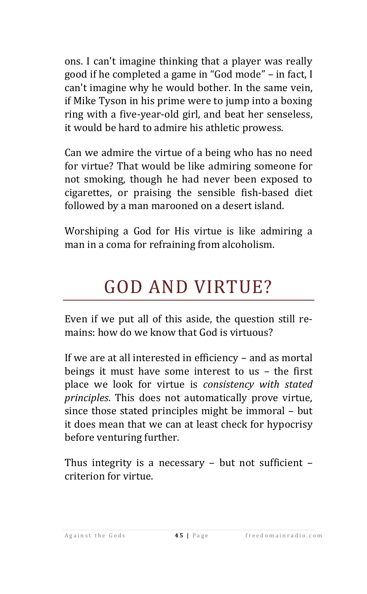ons. I can't imagine thinking that a player was really good if he completed a game in "God mode" – in fact, I can't imagine why he would bother. In the same vein, if Mike Tyson in his prime were to jump into a boxing ring with a five-year-old girl, and beat her senseless, it would be hard to admire his athletic prowess.

Can we admire the virtue of a being who has no need for virtue? That would be like admiring someone for not smoking, though he had never been exposed to cigarettes, or praising the sensible fish-based diet followed by a man marooned on a desert island.

Worshiping a God for His virtue is like admiring a man in a coma for refraining from alcoholism.

#### GOD AND VIRTUE?

Even if we put all of this aside, the question still remains: how do we know that God is virtuous?

If we are at all interested in efficiency – and as mortal beings it must have some interest to us – the first place we look for virtue is *consistency with stated principles*. This does not automatically prove virtue, since those stated principles might be immoral – but it does mean that we can at least check for hypocrisy before venturing further.

Thus integrity is a necessary – but not sufficient – criterion for virtue.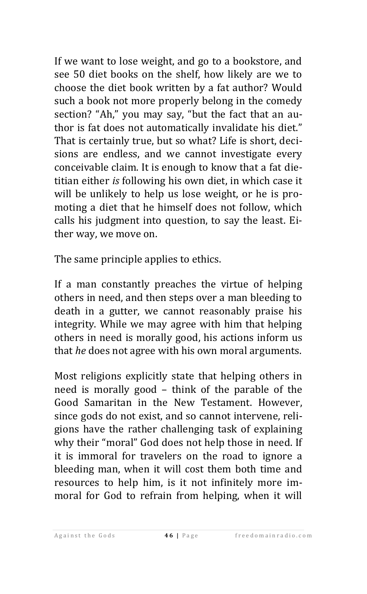If we want to lose weight, and go to a bookstore, and see 50 diet books on the shelf, how likely are we to choose the diet book written by a fat author? Would such a book not more properly belong in the comedy section? "Ah," you may say, "but the fact that an author is fat does not automatically invalidate his diet." That is certainly true, but so what? Life is short, decisions are endless, and we cannot investigate every conceivable claim. It is enough to know that a fat dietitian either *is* following his own diet, in which case it will be unlikely to help us lose weight, or he is promoting a diet that he himself does not follow, which calls his judgment into question, to say the least. Either way, we move on.

The same principle applies to ethics.

If a man constantly preaches the virtue of helping others in need, and then steps over a man bleeding to death in a gutter, we cannot reasonably praise his integrity. While we may agree with him that helping others in need is morally good, his actions inform us that *he* does not agree with his own moral arguments.

Most religions explicitly state that helping others in need is morally good – think of the parable of the Good Samaritan in the New Testament. However, since gods do not exist, and so cannot intervene, religions have the rather challenging task of explaining why their "moral" God does not help those in need. If it is immoral for travelers on the road to ignore a bleeding man, when it will cost them both time and resources to help him, is it not infinitely more immoral for God to refrain from helping, when it will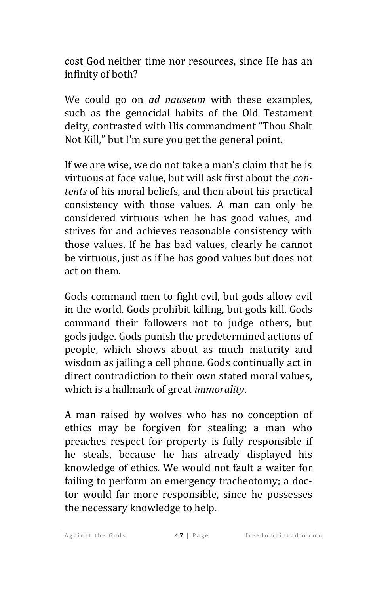cost God neither time nor resources, since He has an infinity of both?

We could go on *ad nauseum* with these examples, such as the genocidal habits of the Old Testament deity, contrasted with His commandment "Thou Shalt Not Kill," but I'm sure you get the general point.

If we are wise, we do not take a man's claim that he is virtuous at face value, but will ask first about the *contents* of his moral beliefs, and then about his practical consistency with those values. A man can only be considered virtuous when he has good values, and strives for and achieves reasonable consistency with those values. If he has bad values, clearly he cannot be virtuous, just as if he has good values but does not act on them.

Gods command men to fight evil, but gods allow evil in the world. Gods prohibit killing, but gods kill. Gods command their followers not to judge others, but gods judge. Gods punish the predetermined actions of people, which shows about as much maturity and wisdom as jailing a cell phone. Gods continually act in direct contradiction to their own stated moral values, which is a hallmark of great *immorality*.

A man raised by wolves who has no conception of ethics may be forgiven for stealing; a man who preaches respect for property is fully responsible if he steals, because he has already displayed his knowledge of ethics. We would not fault a waiter for failing to perform an emergency tracheotomy; a doctor would far more responsible, since he possesses the necessary knowledge to help.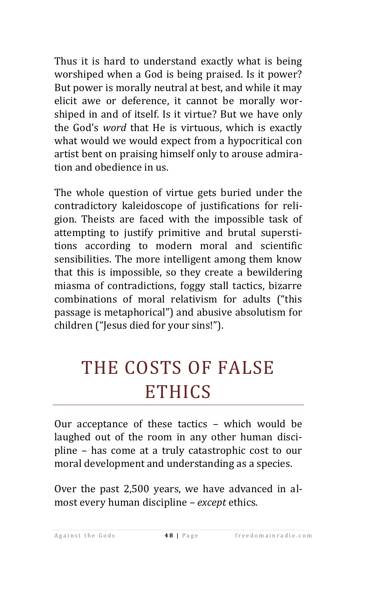Thus it is hard to understand exactly what is being worshiped when a God is being praised. Is it power? But power is morally neutral at best, and while it may elicit awe or deference, it cannot be morally worshiped in and of itself. Is it virtue? But we have only the God's *word* that He is virtuous, which is exactly what would we would expect from a hypocritical con artist bent on praising himself only to arouse admiration and obedience in us.

The whole question of virtue gets buried under the contradictory kaleidoscope of justifications for religion. Theists are faced with the impossible task of attempting to justify primitive and brutal superstitions according to modern moral and scientific sensibilities. The more intelligent among them know that this is impossible, so they create a bewildering miasma of contradictions, foggy stall tactics, bizarre combinations of moral relativism for adults ("this passage is metaphorical") and abusive absolutism for children ("Jesus died for your sins!").

### THE COSTS OF FALSE **ETHICS**

Our acceptance of these tactics – which would be laughed out of the room in any other human discipline – has come at a truly catastrophic cost to our moral development and understanding as a species.

Over the past 2,500 years, we have advanced in almost every human discipline – *except* ethics.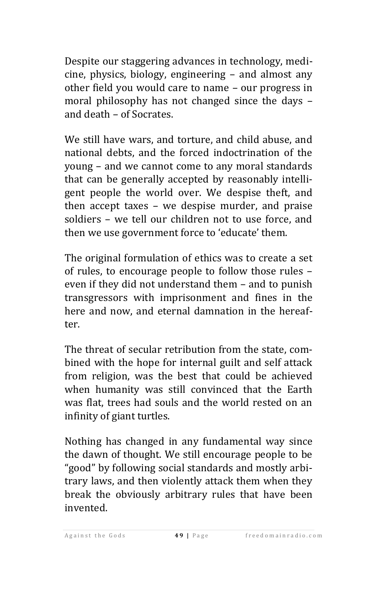Despite our staggering advances in technology, medicine, physics, biology, engineering – and almost any other field you would care to name – our progress in moral philosophy has not changed since the days – and death – of Socrates.

We still have wars, and torture, and child abuse, and national debts, and the forced indoctrination of the young – and we cannot come to any moral standards that can be generally accepted by reasonably intelligent people the world over. We despise theft, and then accept taxes – we despise murder, and praise soldiers – we tell our children not to use force, and then we use government force to 'educate' them.

The original formulation of ethics was to create a set of rules, to encourage people to follow those rules – even if they did not understand them – and to punish transgressors with imprisonment and fines in the here and now, and eternal damnation in the hereafter.

The threat of secular retribution from the state, combined with the hope for internal guilt and self attack from religion, was the best that could be achieved when humanity was still convinced that the Earth was flat, trees had souls and the world rested on an infinity of giant turtles.

Nothing has changed in any fundamental way since the dawn of thought. We still encourage people to be "good" by following social standards and mostly arbitrary laws, and then violently attack them when they break the obviously arbitrary rules that have been invented.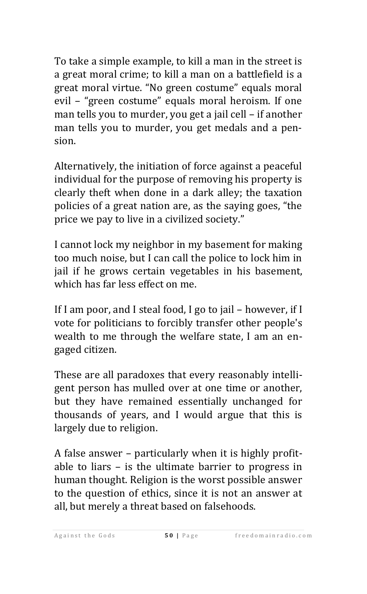To take a simple example, to kill a man in the street is a great moral crime; to kill a man on a battlefield is a great moral virtue. "No green costume" equals moral evil – "green costume" equals moral heroism. If one man tells you to murder, you get a jail cell – if another man tells you to murder, you get medals and a pension.

Alternatively, the initiation of force against a peaceful individual for the purpose of removing his property is clearly theft when done in a dark alley; the taxation policies of a great nation are, as the saying goes, "the price we pay to live in a civilized society."

I cannot lock my neighbor in my basement for making too much noise, but I can call the police to lock him in jail if he grows certain vegetables in his basement, which has far less effect on me.

If I am poor, and I steal food, I go to jail – however, if I vote for politicians to forcibly transfer other people's wealth to me through the welfare state, I am an engaged citizen.

These are all paradoxes that every reasonably intelligent person has mulled over at one time or another, but they have remained essentially unchanged for thousands of years, and I would argue that this is largely due to religion.

A false answer – particularly when it is highly profitable to liars – is the ultimate barrier to progress in human thought. Religion is the worst possible answer to the question of ethics, since it is not an answer at all, but merely a threat based on falsehoods.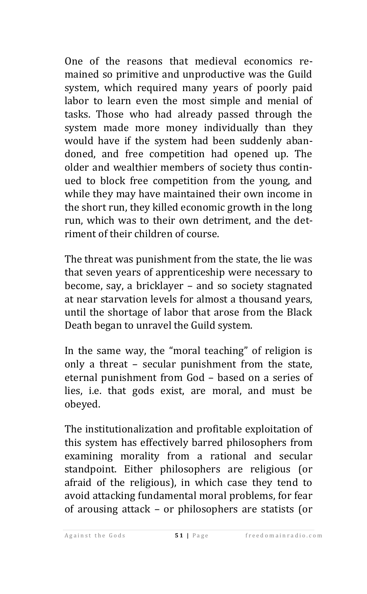One of the reasons that medieval economics remained so primitive and unproductive was the Guild system, which required many years of poorly paid labor to learn even the most simple and menial of tasks. Those who had already passed through the system made more money individually than they would have if the system had been suddenly abandoned, and free competition had opened up. The older and wealthier members of society thus continued to block free competition from the young, and while they may have maintained their own income in the short run, they killed economic growth in the long run, which was to their own detriment, and the detriment of their children of course.

The threat was punishment from the state, the lie was that seven years of apprenticeship were necessary to become, say, a bricklayer – and so society stagnated at near starvation levels for almost a thousand years, until the shortage of labor that arose from the Black Death began to unravel the Guild system.

In the same way, the "moral teaching" of religion is only a threat – secular punishment from the state, eternal punishment from God – based on a series of lies, i.e. that gods exist, are moral, and must be obeyed.

The institutionalization and profitable exploitation of this system has effectively barred philosophers from examining morality from a rational and secular standpoint. Either philosophers are religious (or afraid of the religious), in which case they tend to avoid attacking fundamental moral problems, for fear of arousing attack – or philosophers are statists (or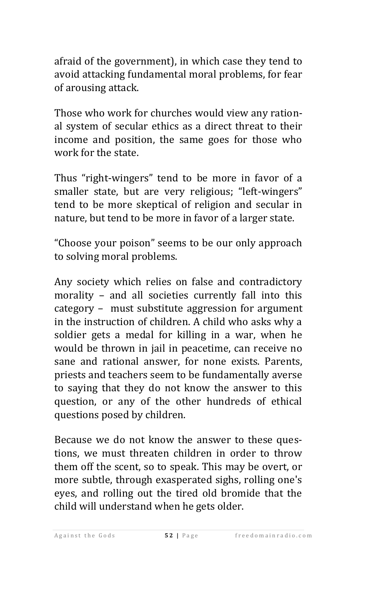afraid of the government), in which case they tend to avoid attacking fundamental moral problems, for fear of arousing attack.

Those who work for churches would view any rational system of secular ethics as a direct threat to their income and position, the same goes for those who work for the state.

Thus "right-wingers" tend to be more in favor of a smaller state, but are very religious; "left-wingers" tend to be more skeptical of religion and secular in nature, but tend to be more in favor of a larger state.

"Choose your poison" seems to be our only approach to solving moral problems.

Any society which relies on false and contradictory morality – and all societies currently fall into this category – must substitute aggression for argument in the instruction of children. A child who asks why a soldier gets a medal for killing in a war, when he would be thrown in jail in peacetime, can receive no sane and rational answer, for none exists. Parents, priests and teachers seem to be fundamentally averse to saying that they do not know the answer to this question, or any of the other hundreds of ethical questions posed by children.

Because we do not know the answer to these questions, we must threaten children in order to throw them off the scent, so to speak. This may be overt, or more subtle, through exasperated sighs, rolling one's eyes, and rolling out the tired old bromide that the child will understand when he gets older.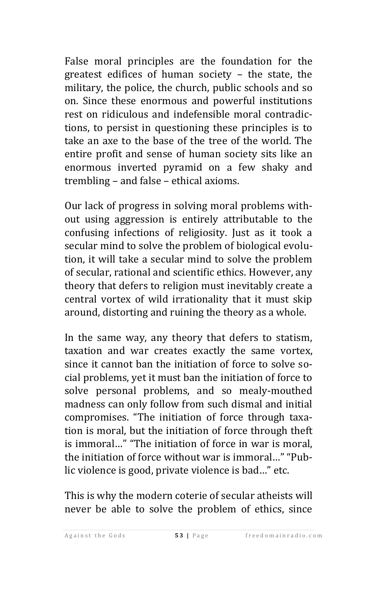False moral principles are the foundation for the greatest edifices of human society – the state, the military, the police, the church, public schools and so on. Since these enormous and powerful institutions rest on ridiculous and indefensible moral contradictions, to persist in questioning these principles is to take an axe to the base of the tree of the world. The entire profit and sense of human society sits like an enormous inverted pyramid on a few shaky and trembling – and false – ethical axioms.

Our lack of progress in solving moral problems without using aggression is entirely attributable to the confusing infections of religiosity. Just as it took a secular mind to solve the problem of biological evolution, it will take a secular mind to solve the problem of secular, rational and scientific ethics. However, any theory that defers to religion must inevitably create a central vortex of wild irrationality that it must skip around, distorting and ruining the theory as a whole.

In the same way, any theory that defers to statism, taxation and war creates exactly the same vortex, since it cannot ban the initiation of force to solve social problems, yet it must ban the initiation of force to solve personal problems, and so mealy-mouthed madness can only follow from such dismal and initial compromises. "The initiation of force through taxation is moral, but the initiation of force through theft is immoral…" "The initiation of force in war is moral, the initiation of force without war is immoral…" "Public violence is good, private violence is bad…" etc.

This is why the modern coterie of secular atheists will never be able to solve the problem of ethics, since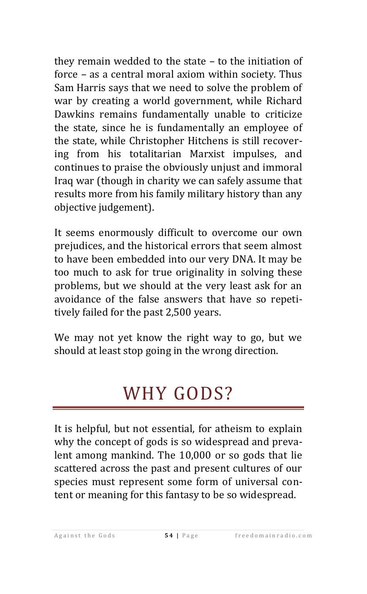they remain wedded to the state – to the initiation of force – as a central moral axiom within society. Thus Sam Harris says that we need to solve the problem of war by creating a world government, while Richard Dawkins remains fundamentally unable to criticize the state, since he is fundamentally an employee of the state, while Christopher Hitchens is still recovering from his totalitarian Marxist impulses, and continues to praise the obviously unjust and immoral Iraq war (though in charity we can safely assume that results more from his family military history than any objective judgement).

It seems enormously difficult to overcome our own prejudices, and the historical errors that seem almost to have been embedded into our very DNA. It may be too much to ask for true originality in solving these problems, but we should at the very least ask for an avoidance of the false answers that have so repetitively failed for the past 2,500 years.

We may not yet know the right way to go, but we should at least stop going in the wrong direction.

#### WHY GODS?

It is helpful, but not essential, for atheism to explain why the concept of gods is so widespread and prevalent among mankind. The 10,000 or so gods that lie scattered across the past and present cultures of our species must represent some form of universal content or meaning for this fantasy to be so widespread.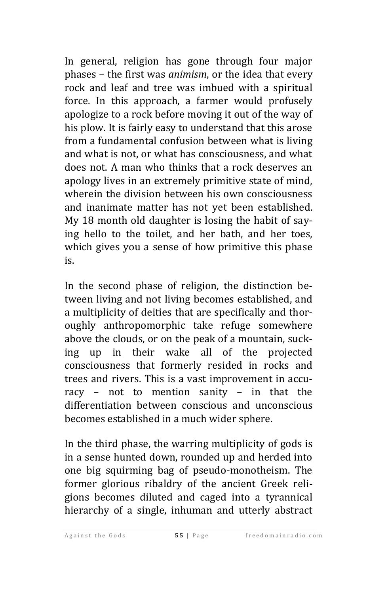In general, religion has gone through four major phases – the first was *animism*, or the idea that every rock and leaf and tree was imbued with a spiritual force. In this approach, a farmer would profusely apologize to a rock before moving it out of the way of his plow. It is fairly easy to understand that this arose from a fundamental confusion between what is living and what is not, or what has consciousness, and what does not. A man who thinks that a rock deserves an apology lives in an extremely primitive state of mind, wherein the division between his own consciousness and inanimate matter has not yet been established. My 18 month old daughter is losing the habit of saying hello to the toilet, and her bath, and her toes, which gives you a sense of how primitive this phase is.

In the second phase of religion, the distinction between living and not living becomes established, and a multiplicity of deities that are specifically and thoroughly anthropomorphic take refuge somewhere above the clouds, or on the peak of a mountain, sucking up in their wake all of the projected consciousness that formerly resided in rocks and trees and rivers. This is a vast improvement in accuracy – not to mention sanity – in that the differentiation between conscious and unconscious becomes established in a much wider sphere.

In the third phase, the warring multiplicity of gods is in a sense hunted down, rounded up and herded into one big squirming bag of pseudo-monotheism. The former glorious ribaldry of the ancient Greek religions becomes diluted and caged into a tyrannical hierarchy of a single, inhuman and utterly abstract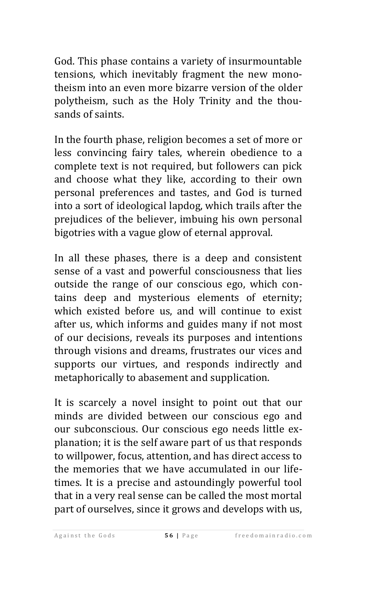God. This phase contains a variety of insurmountable tensions, which inevitably fragment the new monotheism into an even more bizarre version of the older polytheism, such as the Holy Trinity and the thousands of saints.

In the fourth phase, religion becomes a set of more or less convincing fairy tales, wherein obedience to a complete text is not required, but followers can pick and choose what they like, according to their own personal preferences and tastes, and God is turned into a sort of ideological lapdog, which trails after the prejudices of the believer, imbuing his own personal bigotries with a vague glow of eternal approval.

In all these phases, there is a deep and consistent sense of a vast and powerful consciousness that lies outside the range of our conscious ego, which contains deep and mysterious elements of eternity; which existed before us, and will continue to exist after us, which informs and guides many if not most of our decisions, reveals its purposes and intentions through visions and dreams, frustrates our vices and supports our virtues, and responds indirectly and metaphorically to abasement and supplication.

It is scarcely a novel insight to point out that our minds are divided between our conscious ego and our subconscious. Our conscious ego needs little explanation; it is the self aware part of us that responds to willpower, focus, attention, and has direct access to the memories that we have accumulated in our lifetimes. It is a precise and astoundingly powerful tool that in a very real sense can be called the most mortal part of ourselves, since it grows and develops with us,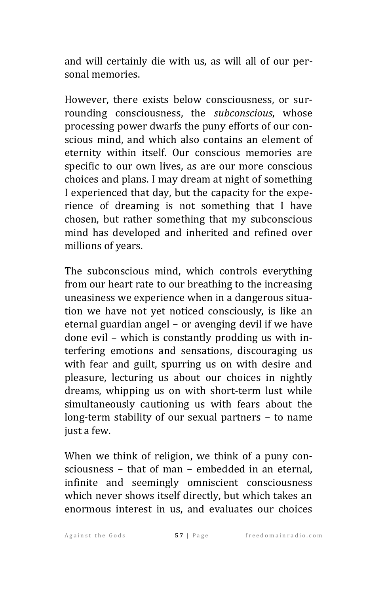and will certainly die with us, as will all of our personal memories.

However, there exists below consciousness, or surrounding consciousness, the *subconscious*, whose processing power dwarfs the puny efforts of our conscious mind, and which also contains an element of eternity within itself. Our conscious memories are specific to our own lives, as are our more conscious choices and plans. I may dream at night of something I experienced that day, but the capacity for the experience of dreaming is not something that I have chosen, but rather something that my subconscious mind has developed and inherited and refined over millions of years.

The subconscious mind, which controls everything from our heart rate to our breathing to the increasing uneasiness we experience when in a dangerous situation we have not yet noticed consciously, is like an eternal guardian angel – or avenging devil if we have done evil – which is constantly prodding us with interfering emotions and sensations, discouraging us with fear and guilt, spurring us on with desire and pleasure, lecturing us about our choices in nightly dreams, whipping us on with short-term lust while simultaneously cautioning us with fears about the long-term stability of our sexual partners – to name just a few.

When we think of religion, we think of a puny consciousness – that of man – embedded in an eternal, infinite and seemingly omniscient consciousness which never shows itself directly, but which takes an enormous interest in us, and evaluates our choices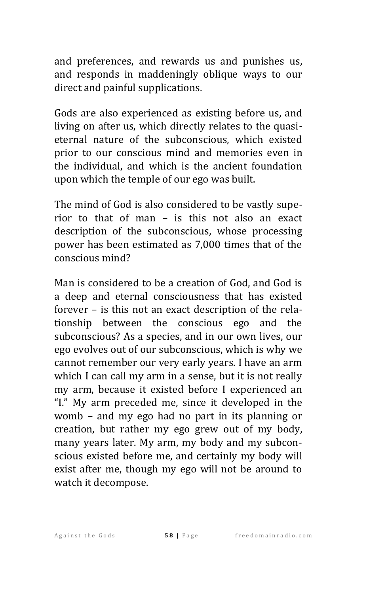and preferences, and rewards us and punishes us, and responds in maddeningly oblique ways to our direct and painful supplications.

Gods are also experienced as existing before us, and living on after us, which directly relates to the quasieternal nature of the subconscious, which existed prior to our conscious mind and memories even in the individual, and which is the ancient foundation upon which the temple of our ego was built.

The mind of God is also considered to be vastly superior to that of man – is this not also an exact description of the subconscious, whose processing power has been estimated as 7,000 times that of the conscious mind?

Man is considered to be a creation of God, and God is a deep and eternal consciousness that has existed forever – is this not an exact description of the relationship between the conscious ego and the subconscious? As a species, and in our own lives, our ego evolves out of our subconscious, which is why we cannot remember our very early years. I have an arm which I can call my arm in a sense, but it is not really my arm, because it existed before I experienced an "I." My arm preceded me, since it developed in the womb – and my ego had no part in its planning or creation, but rather my ego grew out of my body, many years later. My arm, my body and my subconscious existed before me, and certainly my body will exist after me, though my ego will not be around to watch it decompose.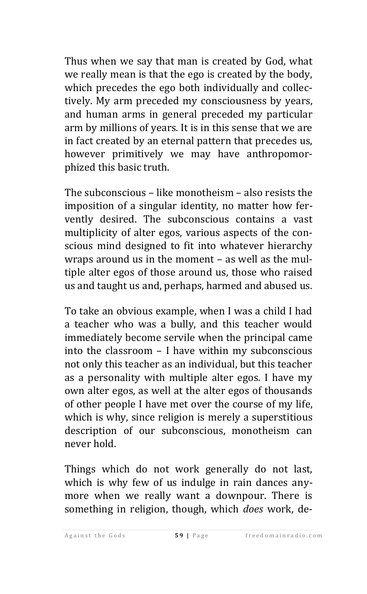Thus when we say that man is created by God, what we really mean is that the ego is created by the body, which precedes the ego both individually and collectively. My arm preceded my consciousness by years, and human arms in general preceded my particular arm by millions of years. It is in this sense that we are in fact created by an eternal pattern that precedes us, however primitively we may have anthropomorphized this basic truth.

The subconscious – like monotheism – also resists the imposition of a singular identity, no matter how fervently desired. The subconscious contains a vast multiplicity of alter egos, various aspects of the conscious mind designed to fit into whatever hierarchy wraps around us in the moment – as well as the multiple alter egos of those around us, those who raised us and taught us and, perhaps, harmed and abused us.

To take an obvious example, when I was a child I had a teacher who was a bully, and this teacher would immediately become servile when the principal came into the classroom – I have within my subconscious not only this teacher as an individual, but this teacher as a personality with multiple alter egos. I have my own alter egos, as well at the alter egos of thousands of other people I have met over the course of my life, which is why, since religion is merely a superstitious description of our subconscious, monotheism can never hold.

Things which do not work generally do not last, which is why few of us indulge in rain dances anymore when we really want a downpour. There is something in religion, though, which *does* work, de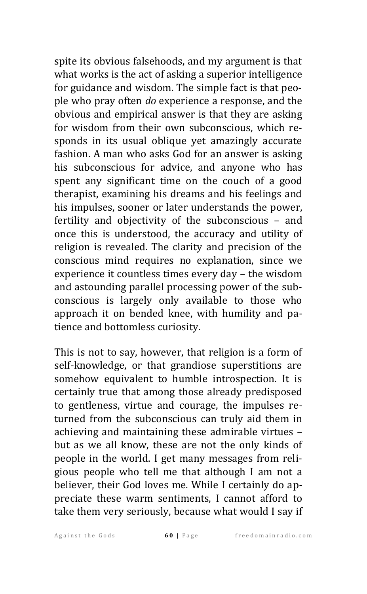spite its obvious falsehoods, and my argument is that what works is the act of asking a superior intelligence for guidance and wisdom. The simple fact is that people who pray often *do* experience a response, and the obvious and empirical answer is that they are asking for wisdom from their own subconscious, which responds in its usual oblique yet amazingly accurate fashion. A man who asks God for an answer is asking his subconscious for advice, and anyone who has spent any significant time on the couch of a good therapist, examining his dreams and his feelings and his impulses, sooner or later understands the power, fertility and objectivity of the subconscious – and once this is understood, the accuracy and utility of religion is revealed. The clarity and precision of the conscious mind requires no explanation, since we experience it countless times every day – the wisdom and astounding parallel processing power of the subconscious is largely only available to those who approach it on bended knee, with humility and patience and bottomless curiosity.

This is not to say, however, that religion is a form of self-knowledge, or that grandiose superstitions are somehow equivalent to humble introspection. It is certainly true that among those already predisposed to gentleness, virtue and courage, the impulses returned from the subconscious can truly aid them in achieving and maintaining these admirable virtues – but as we all know, these are not the only kinds of people in the world. I get many messages from religious people who tell me that although I am not a believer, their God loves me. While I certainly do appreciate these warm sentiments, I cannot afford to take them very seriously, because what would I say if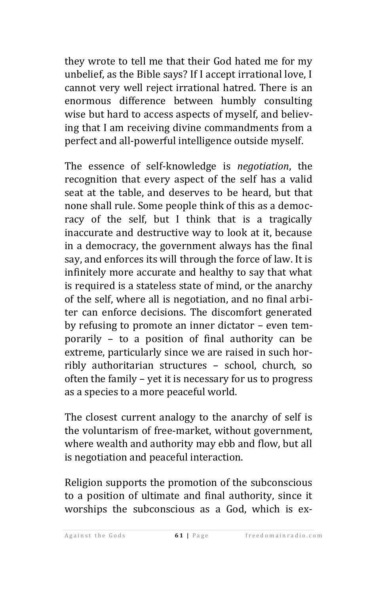they wrote to tell me that their God hated me for my unbelief, as the Bible says? If I accept irrational love, I cannot very well reject irrational hatred. There is an enormous difference between humbly consulting wise but hard to access aspects of myself, and believing that I am receiving divine commandments from a perfect and all-powerful intelligence outside myself.

The essence of self-knowledge is *negotiation*, the recognition that every aspect of the self has a valid seat at the table, and deserves to be heard, but that none shall rule. Some people think of this as a democracy of the self, but I think that is a tragically inaccurate and destructive way to look at it, because in a democracy, the government always has the final say, and enforces its will through the force of law. It is infinitely more accurate and healthy to say that what is required is a stateless state of mind, or the anarchy of the self, where all is negotiation, and no final arbiter can enforce decisions. The discomfort generated by refusing to promote an inner dictator – even temporarily – to a position of final authority can be extreme, particularly since we are raised in such horribly authoritarian structures – school, church, so often the family – yet it is necessary for us to progress as a species to a more peaceful world.

The closest current analogy to the anarchy of self is the voluntarism of free-market, without government, where wealth and authority may ebb and flow, but all is negotiation and peaceful interaction.

Religion supports the promotion of the subconscious to a position of ultimate and final authority, since it worships the subconscious as a God, which is ex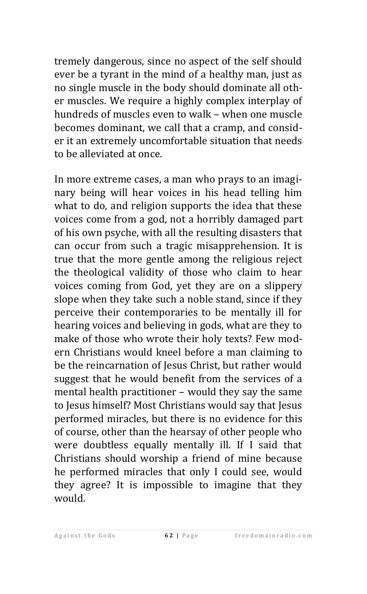tremely dangerous, since no aspect of the self should ever be a tyrant in the mind of a healthy man, just as no single muscle in the body should dominate all other muscles. We require a highly complex interplay of hundreds of muscles even to walk – when one muscle becomes dominant, we call that a cramp, and consider it an extremely uncomfortable situation that needs to be alleviated at once.

In more extreme cases, a man who prays to an imaginary being will hear voices in his head telling him what to do, and religion supports the idea that these voices come from a god, not a horribly damaged part of his own psyche, with all the resulting disasters that can occur from such a tragic misapprehension. It is true that the more gentle among the religious reject the theological validity of those who claim to hear voices coming from God, yet they are on a slippery slope when they take such a noble stand, since if they perceive their contemporaries to be mentally ill for hearing voices and believing in gods, what are they to make of those who wrote their holy texts? Few modern Christians would kneel before a man claiming to be the reincarnation of Jesus Christ, but rather would suggest that he would benefit from the services of a mental health practitioner – would they say the same to Jesus himself? Most Christians would say that Jesus performed miracles, but there is no evidence for this of course, other than the hearsay of other people who were doubtless equally mentally ill. If I said that Christians should worship a friend of mine because he performed miracles that only I could see, would they agree? It is impossible to imagine that they would.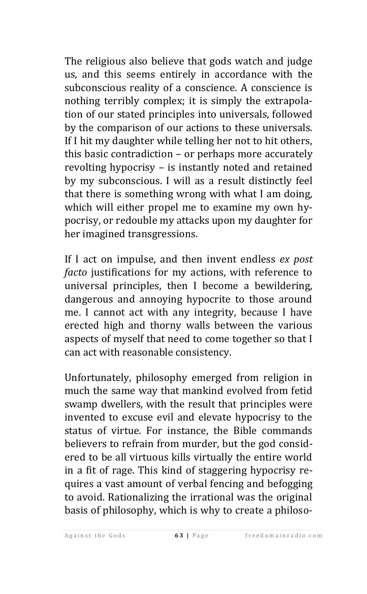The religious also believe that gods watch and judge us, and this seems entirely in accordance with the subconscious reality of a conscience. A conscience is nothing terribly complex; it is simply the extrapolation of our stated principles into universals, followed by the comparison of our actions to these universals. If I hit my daughter while telling her not to hit others, this basic contradiction – or perhaps more accurately revolting hypocrisy – is instantly noted and retained by my subconscious. I will as a result distinctly feel that there is something wrong with what I am doing, which will either propel me to examine my own hypocrisy, or redouble my attacks upon my daughter for her imagined transgressions.

If I act on impulse, and then invent endless *ex post facto* justifications for my actions, with reference to universal principles, then I become a bewildering, dangerous and annoying hypocrite to those around me. I cannot act with any integrity, because I have erected high and thorny walls between the various aspects of myself that need to come together so that I can act with reasonable consistency.

Unfortunately, philosophy emerged from religion in much the same way that mankind evolved from fetid swamp dwellers, with the result that principles were invented to excuse evil and elevate hypocrisy to the status of virtue. For instance, the Bible commands believers to refrain from murder, but the god considered to be all virtuous kills virtually the entire world in a fit of rage. This kind of staggering hypocrisy requires a vast amount of verbal fencing and befogging to avoid. Rationalizing the irrational was the original basis of philosophy, which is why to create a philoso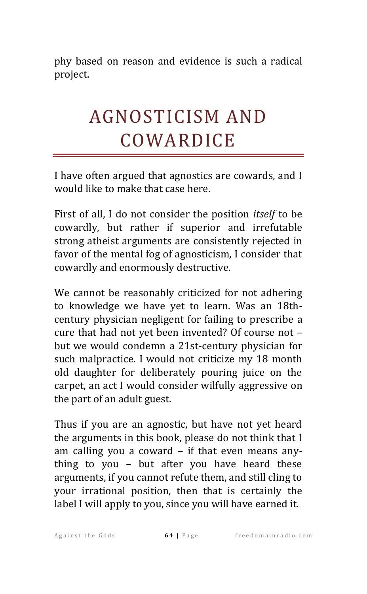phy based on reason and evidence is such a radical project.

### AGNOSTICISM AND **COWARDICE**

I have often argued that agnostics are cowards, and I would like to make that case here.

First of all, I do not consider the position *itself* to be cowardly, but rather if superior and irrefutable strong atheist arguments are consistently rejected in favor of the mental fog of agnosticism, I consider that cowardly and enormously destructive.

We cannot be reasonably criticized for not adhering to knowledge we have yet to learn. Was an 18thcentury physician negligent for failing to prescribe a cure that had not yet been invented? Of course not – but we would condemn a 21st-century physician for such malpractice. I would not criticize my 18 month old daughter for deliberately pouring juice on the carpet, an act I would consider wilfully aggressive on the part of an adult guest.

Thus if you are an agnostic, but have not yet heard the arguments in this book, please do not think that I am calling you a coward – if that even means anything to you – but after you have heard these arguments, if you cannot refute them, and still cling to your irrational position, then that is certainly the label I will apply to you, since you will have earned it.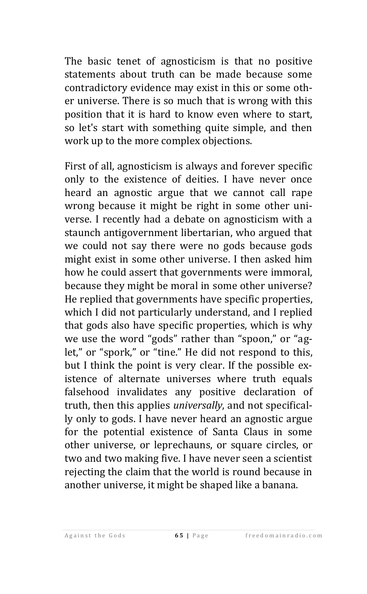The basic tenet of agnosticism is that no positive statements about truth can be made because some contradictory evidence may exist in this or some other universe. There is so much that is wrong with this position that it is hard to know even where to start, so let's start with something quite simple, and then work up to the more complex objections.

First of all, agnosticism is always and forever specific only to the existence of deities. I have never once heard an agnostic argue that we cannot call rape wrong because it might be right in some other universe. I recently had a debate on agnosticism with a staunch antigovernment libertarian, who argued that we could not say there were no gods because gods might exist in some other universe. I then asked him how he could assert that governments were immoral, because they might be moral in some other universe? He replied that governments have specific properties, which I did not particularly understand, and I replied that gods also have specific properties, which is why we use the word "gods" rather than "spoon," or "aglet," or "spork," or "tine." He did not respond to this, but I think the point is very clear. If the possible existence of alternate universes where truth equals falsehood invalidates any positive declaration of truth, then this applies *universally*, and not specifically only to gods. I have never heard an agnostic argue for the potential existence of Santa Claus in some other universe, or leprechauns, or square circles, or two and two making five. I have never seen a scientist rejecting the claim that the world is round because in another universe, it might be shaped like a banana.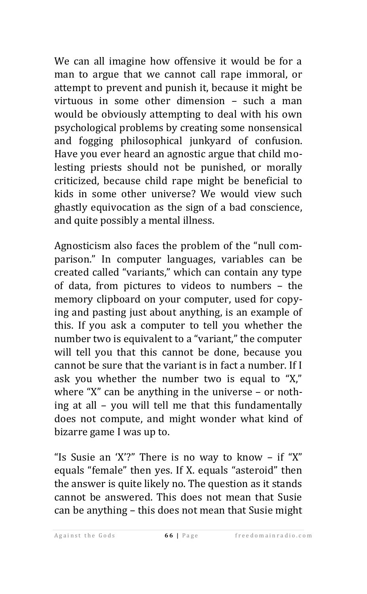We can all imagine how offensive it would be for a man to argue that we cannot call rape immoral, or attempt to prevent and punish it, because it might be virtuous in some other dimension – such a man would be obviously attempting to deal with his own psychological problems by creating some nonsensical and fogging philosophical junkyard of confusion. Have you ever heard an agnostic argue that child molesting priests should not be punished, or morally criticized, because child rape might be beneficial to kids in some other universe? We would view such ghastly equivocation as the sign of a bad conscience, and quite possibly a mental illness.

Agnosticism also faces the problem of the "null comparison." In computer languages, variables can be created called "variants," which can contain any type of data, from pictures to videos to numbers – the memory clipboard on your computer, used for copying and pasting just about anything, is an example of this. If you ask a computer to tell you whether the number two is equivalent to a "variant," the computer will tell you that this cannot be done, because you cannot be sure that the variant is in fact a number. If I ask you whether the number two is equal to "X," where "X" can be anything in the universe – or nothing at all – you will tell me that this fundamentally does not compute, and might wonder what kind of bizarre game I was up to.

"Is Susie an 'X'?" There is no way to know – if "X" equals "female" then yes. If X. equals "asteroid" then the answer is quite likely no. The question as it stands cannot be answered. This does not mean that Susie can be anything – this does not mean that Susie might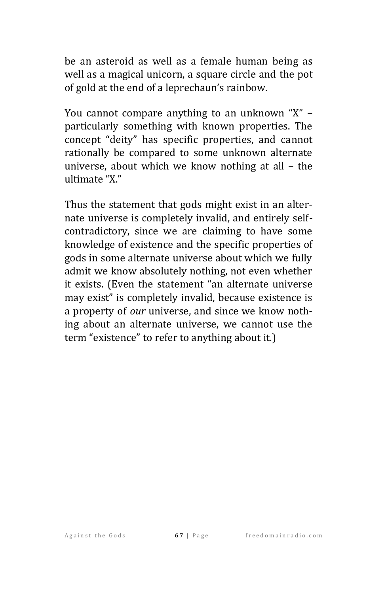be an asteroid as well as a female human being as well as a magical unicorn, a square circle and the pot of gold at the end of a leprechaun's rainbow.

You cannot compare anything to an unknown "X" – particularly something with known properties. The concept "deity" has specific properties, and cannot rationally be compared to some unknown alternate universe, about which we know nothing at all – the ultimate "X."

Thus the statement that gods might exist in an alternate universe is completely invalid, and entirely selfcontradictory, since we are claiming to have some knowledge of existence and the specific properties of gods in some alternate universe about which we fully admit we know absolutely nothing, not even whether it exists. (Even the statement "an alternate universe may exist" is completely invalid, because existence is a property of *our* universe, and since we know nothing about an alternate universe, we cannot use the term "existence" to refer to anything about it.)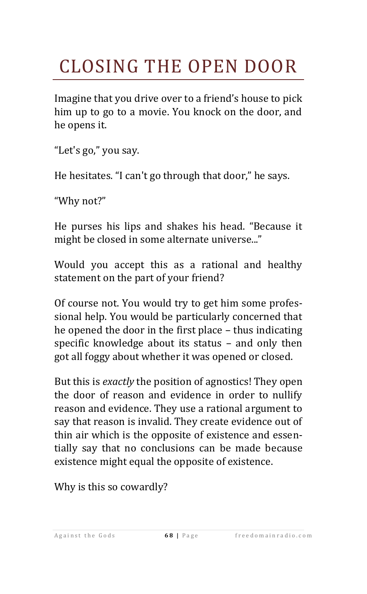# CLOSING THE OPEN DOOR

Imagine that you drive over to a friend's house to pick him up to go to a movie. You knock on the door, and he opens it.

"Let's go," you say.

He hesitates. "I can't go through that door," he says.

"Why not?"

He purses his lips and shakes his head. "Because it might be closed in some alternate universe..."

Would you accept this as a rational and healthy statement on the part of your friend?

Of course not. You would try to get him some professional help. You would be particularly concerned that he opened the door in the first place – thus indicating specific knowledge about its status – and only then got all foggy about whether it was opened or closed.

But this is *exactly* the position of agnostics! They open the door of reason and evidence in order to nullify reason and evidence. They use a rational argument to say that reason is invalid. They create evidence out of thin air which is the opposite of existence and essentially say that no conclusions can be made because existence might equal the opposite of existence.

Why is this so cowardly?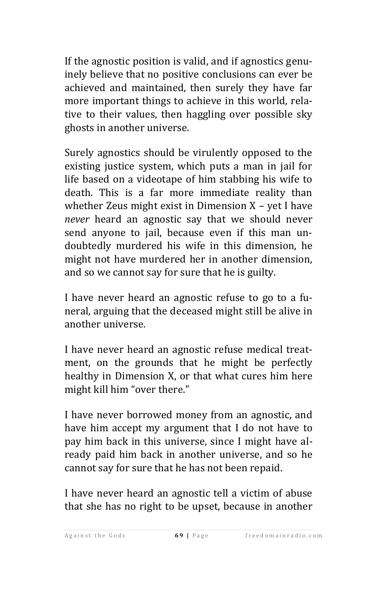If the agnostic position is valid, and if agnostics genuinely believe that no positive conclusions can ever be achieved and maintained, then surely they have far more important things to achieve in this world, relative to their values, then haggling over possible sky ghosts in another universe.

Surely agnostics should be virulently opposed to the existing justice system, which puts a man in jail for life based on a videotape of him stabbing his wife to death. This is a far more immediate reality than whether Zeus might exist in Dimension X – yet I have *never* heard an agnostic say that we should never send anyone to jail, because even if this man undoubtedly murdered his wife in this dimension, he might not have murdered her in another dimension, and so we cannot say for sure that he is guilty.

I have never heard an agnostic refuse to go to a funeral, arguing that the deceased might still be alive in another universe.

I have never heard an agnostic refuse medical treatment, on the grounds that he might be perfectly healthy in Dimension X, or that what cures him here might kill him "over there."

I have never borrowed money from an agnostic, and have him accept my argument that I do not have to pay him back in this universe, since I might have already paid him back in another universe, and so he cannot say for sure that he has not been repaid.

I have never heard an agnostic tell a victim of abuse that she has no right to be upset, because in another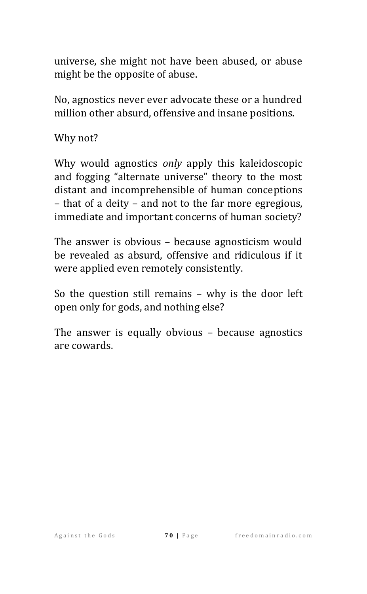universe, she might not have been abused, or abuse might be the opposite of abuse.

No, agnostics never ever advocate these or a hundred million other absurd, offensive and insane positions.

Why not?

Why would agnostics *only* apply this kaleidoscopic and fogging "alternate universe" theory to the most distant and incomprehensible of human conceptions – that of a deity – and not to the far more egregious, immediate and important concerns of human society?

The answer is obvious – because agnosticism would be revealed as absurd, offensive and ridiculous if it were applied even remotely consistently.

So the question still remains – why is the door left open only for gods, and nothing else?

The answer is equally obvious – because agnostics are cowards.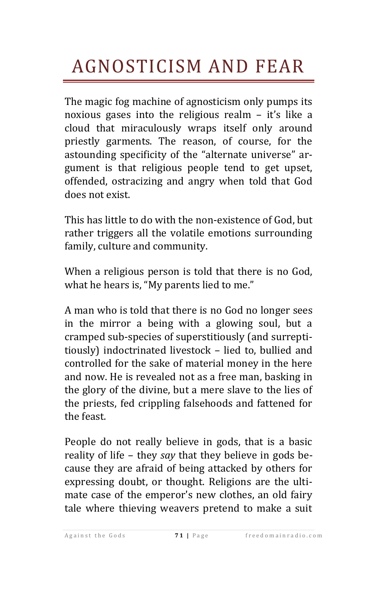## AGNOSTICISM AND FEAR

The magic fog machine of agnosticism only pumps its noxious gases into the religious realm – it's like a cloud that miraculously wraps itself only around priestly garments. The reason, of course, for the astounding specificity of the "alternate universe" argument is that religious people tend to get upset, offended, ostracizing and angry when told that God does not exist.

This has little to do with the non-existence of God, but rather triggers all the volatile emotions surrounding family, culture and community.

When a religious person is told that there is no God, what he hears is, "My parents lied to me."

A man who is told that there is no God no longer sees in the mirror a being with a glowing soul, but a cramped sub-species of superstitiously (and surreptitiously) indoctrinated livestock – lied to, bullied and controlled for the sake of material money in the here and now. He is revealed not as a free man, basking in the glory of the divine, but a mere slave to the lies of the priests, fed crippling falsehoods and fattened for the feast.

People do not really believe in gods, that is a basic reality of life – they *say* that they believe in gods because they are afraid of being attacked by others for expressing doubt, or thought. Religions are the ultimate case of the emperor's new clothes, an old fairy tale where thieving weavers pretend to make a suit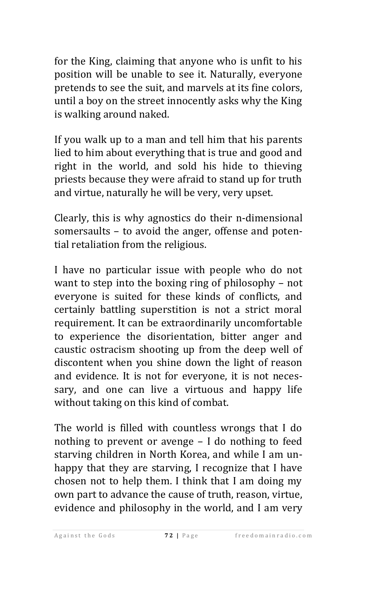for the King, claiming that anyone who is unfit to his position will be unable to see it. Naturally, everyone pretends to see the suit, and marvels at its fine colors, until a boy on the street innocently asks why the King is walking around naked.

If you walk up to a man and tell him that his parents lied to him about everything that is true and good and right in the world, and sold his hide to thieving priests because they were afraid to stand up for truth and virtue, naturally he will be very, very upset.

Clearly, this is why agnostics do their n-dimensional somersaults – to avoid the anger, offense and potential retaliation from the religious.

I have no particular issue with people who do not want to step into the boxing ring of philosophy – not everyone is suited for these kinds of conflicts, and certainly battling superstition is not a strict moral requirement. It can be extraordinarily uncomfortable to experience the disorientation, bitter anger and caustic ostracism shooting up from the deep well of discontent when you shine down the light of reason and evidence. It is not for everyone, it is not necessary, and one can live a virtuous and happy life without taking on this kind of combat.

The world is filled with countless wrongs that I do nothing to prevent or avenge – I do nothing to feed starving children in North Korea, and while I am unhappy that they are starving, I recognize that I have chosen not to help them. I think that I am doing my own part to advance the cause of truth, reason, virtue, evidence and philosophy in the world, and I am very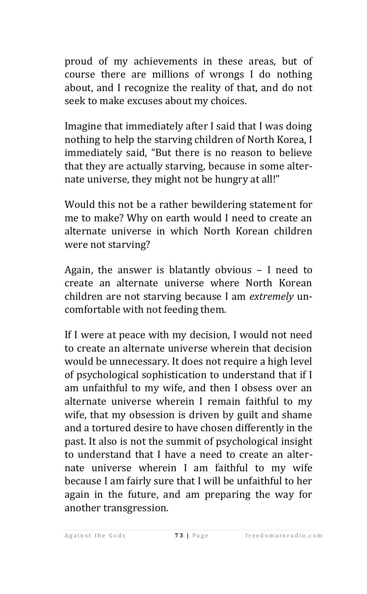proud of my achievements in these areas, but of course there are millions of wrongs I do nothing about, and I recognize the reality of that, and do not seek to make excuses about my choices.

Imagine that immediately after I said that I was doing nothing to help the starving children of North Korea, I immediately said, "But there is no reason to believe that they are actually starving, because in some alternate universe, they might not be hungry at all!"

Would this not be a rather bewildering statement for me to make? Why on earth would I need to create an alternate universe in which North Korean children were not starving?

Again, the answer is blatantly obvious – I need to create an alternate universe where North Korean children are not starving because I am *extremely* uncomfortable with not feeding them.

If I were at peace with my decision, I would not need to create an alternate universe wherein that decision would be unnecessary. It does not require a high level of psychological sophistication to understand that if I am unfaithful to my wife, and then I obsess over an alternate universe wherein I remain faithful to my wife, that my obsession is driven by guilt and shame and a tortured desire to have chosen differently in the past. It also is not the summit of psychological insight to understand that I have a need to create an alternate universe wherein I am faithful to my wife because I am fairly sure that I will be unfaithful to her again in the future, and am preparing the way for another transgression.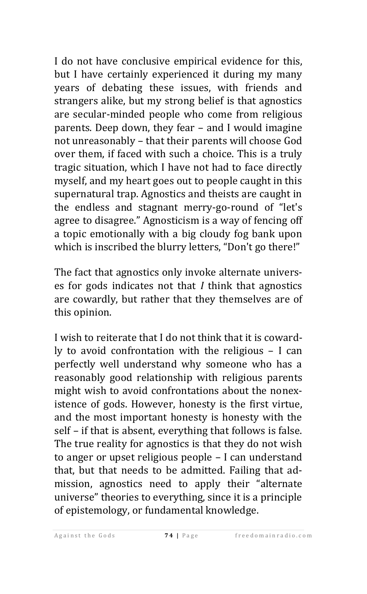I do not have conclusive empirical evidence for this, but I have certainly experienced it during my many years of debating these issues, with friends and strangers alike, but my strong belief is that agnostics are secular-minded people who come from religious parents. Deep down, they fear – and I would imagine not unreasonably – that their parents will choose God over them, if faced with such a choice. This is a truly tragic situation, which I have not had to face directly myself, and my heart goes out to people caught in this supernatural trap. Agnostics and theists are caught in the endless and stagnant merry-go-round of "let's agree to disagree." Agnosticism is a way of fencing off a topic emotionally with a big cloudy fog bank upon which is inscribed the blurry letters, "Don't go there!"

The fact that agnostics only invoke alternate universes for gods indicates not that *I* think that agnostics are cowardly, but rather that they themselves are of this opinion.

I wish to reiterate that I do not think that it is cowardly to avoid confrontation with the religious – I can perfectly well understand why someone who has a reasonably good relationship with religious parents might wish to avoid confrontations about the nonexistence of gods. However, honesty is the first virtue, and the most important honesty is honesty with the self – if that is absent, everything that follows is false. The true reality for agnostics is that they do not wish to anger or upset religious people – I can understand that, but that needs to be admitted. Failing that admission, agnostics need to apply their "alternate universe" theories to everything, since it is a principle of epistemology, or fundamental knowledge.

Against the Gods **74** | Page freedomainradio.com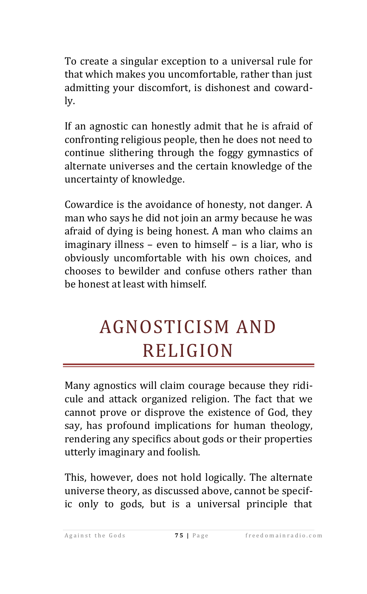To create a singular exception to a universal rule for that which makes you uncomfortable, rather than just admitting your discomfort, is dishonest and cowardly.

If an agnostic can honestly admit that he is afraid of confronting religious people, then he does not need to continue slithering through the foggy gymnastics of alternate universes and the certain knowledge of the uncertainty of knowledge.

Cowardice is the avoidance of honesty, not danger. A man who says he did not join an army because he was afraid of dying is being honest. A man who claims an imaginary illness – even to himself – is a liar, who is obviously uncomfortable with his own choices, and chooses to bewilder and confuse others rather than be honest at least with himself.

## AGNOSTICISM AND RELIGION

Many agnostics will claim courage because they ridicule and attack organized religion. The fact that we cannot prove or disprove the existence of God, they say, has profound implications for human theology, rendering any specifics about gods or their properties utterly imaginary and foolish.

This, however, does not hold logically. The alternate universe theory, as discussed above, cannot be specific only to gods, but is a universal principle that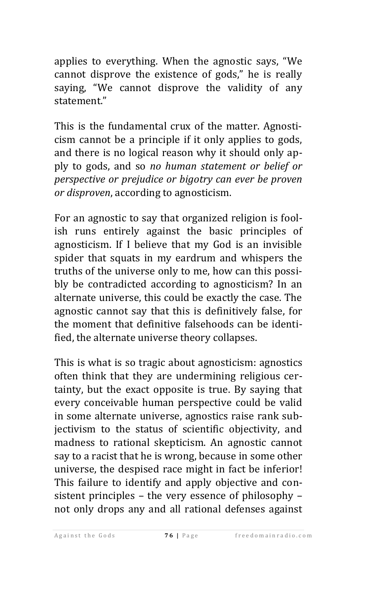applies to everything. When the agnostic says, "We cannot disprove the existence of gods," he is really saying, "We cannot disprove the validity of any statement"

This is the fundamental crux of the matter. Agnosticism cannot be a principle if it only applies to gods, and there is no logical reason why it should only apply to gods, and so *no human statement or belief or perspective or prejudice or bigotry can ever be proven or disproven*, according to agnosticism.

For an agnostic to say that organized religion is foolish runs entirely against the basic principles of agnosticism. If I believe that my God is an invisible spider that squats in my eardrum and whispers the truths of the universe only to me, how can this possibly be contradicted according to agnosticism? In an alternate universe, this could be exactly the case. The agnostic cannot say that this is definitively false, for the moment that definitive falsehoods can be identified, the alternate universe theory collapses.

This is what is so tragic about agnosticism: agnostics often think that they are undermining religious certainty, but the exact opposite is true. By saying that every conceivable human perspective could be valid in some alternate universe, agnostics raise rank subjectivism to the status of scientific objectivity, and madness to rational skepticism. An agnostic cannot say to a racist that he is wrong, because in some other universe, the despised race might in fact be inferior! This failure to identify and apply objective and consistent principles – the very essence of philosophy – not only drops any and all rational defenses against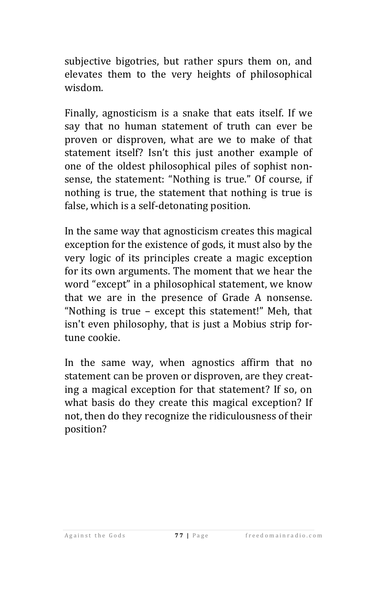subjective bigotries, but rather spurs them on, and elevates them to the very heights of philosophical wisdom.

Finally, agnosticism is a snake that eats itself. If we say that no human statement of truth can ever be proven or disproven, what are we to make of that statement itself? Isn't this just another example of one of the oldest philosophical piles of sophist nonsense, the statement: "Nothing is true." Of course, if nothing is true, the statement that nothing is true is false, which is a self-detonating position.

In the same way that agnosticism creates this magical exception for the existence of gods, it must also by the very logic of its principles create a magic exception for its own arguments. The moment that we hear the word "except" in a philosophical statement, we know that we are in the presence of Grade A nonsense. "Nothing is true – except this statement!" Meh, that isn't even philosophy, that is just a Mobius strip fortune cookie.

In the same way, when agnostics affirm that no statement can be proven or disproven, are they creating a magical exception for that statement? If so, on what basis do they create this magical exception? If not, then do they recognize the ridiculousness of their position?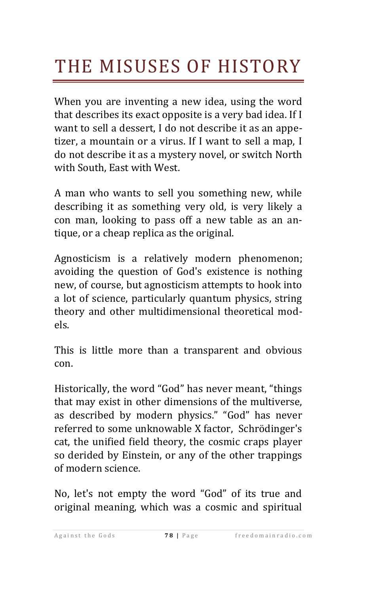## THE MISUSES OF HISTORY

When you are inventing a new idea, using the word that describes its exact opposite is a very bad idea. If I want to sell a dessert, I do not describe it as an appetizer, a mountain or a virus. If I want to sell a map, I do not describe it as a mystery novel, or switch North with South, East with West.

A man who wants to sell you something new, while describing it as something very old, is very likely a con man, looking to pass off a new table as an antique, or a cheap replica as the original.

Agnosticism is a relatively modern phenomenon; avoiding the question of God's existence is nothing new, of course, but agnosticism attempts to hook into a lot of science, particularly quantum physics, string theory and other multidimensional theoretical models.

This is little more than a transparent and obvious con.

Historically, the word "God" has never meant, "things that may exist in other dimensions of the multiverse, as described by modern physics." "God" has never referred to some unknowable X factor, Schrödinger's cat, the unified field theory, the cosmic craps player so derided by Einstein, or any of the other trappings of modern science.

No, let's not empty the word "God" of its true and original meaning, which was a cosmic and spiritual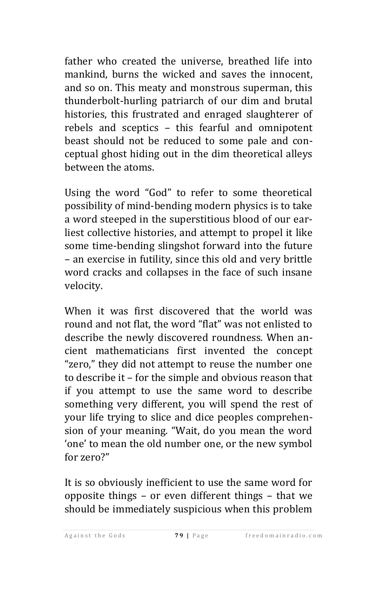father who created the universe, breathed life into mankind, burns the wicked and saves the innocent, and so on. This meaty and monstrous superman, this thunderbolt-hurling patriarch of our dim and brutal histories, this frustrated and enraged slaughterer of rebels and sceptics – this fearful and omnipotent beast should not be reduced to some pale and conceptual ghost hiding out in the dim theoretical alleys between the atoms.

Using the word "God" to refer to some theoretical possibility of mind-bending modern physics is to take a word steeped in the superstitious blood of our earliest collective histories, and attempt to propel it like some time-bending slingshot forward into the future – an exercise in futility, since this old and very brittle word cracks and collapses in the face of such insane velocity.

When it was first discovered that the world was round and not flat, the word "flat" was not enlisted to describe the newly discovered roundness. When ancient mathematicians first invented the concept "zero," they did not attempt to reuse the number one to describe it – for the simple and obvious reason that if you attempt to use the same word to describe something very different, you will spend the rest of your life trying to slice and dice peoples comprehension of your meaning. "Wait, do you mean the word 'one' to mean the old number one, or the new symbol for zero?"

It is so obviously inefficient to use the same word for opposite things – or even different things – that we should be immediately suspicious when this problem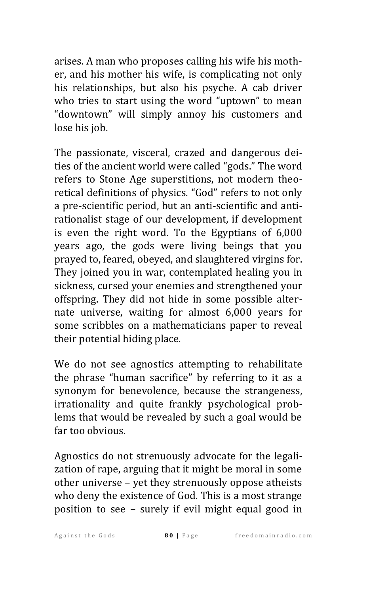arises. A man who proposes calling his wife his mother, and his mother his wife, is complicating not only his relationships, but also his psyche. A cab driver who tries to start using the word "uptown" to mean "downtown" will simply annoy his customers and lose his job.

The passionate, visceral, crazed and dangerous deities of the ancient world were called "gods." The word refers to Stone Age superstitions, not modern theoretical definitions of physics. "God" refers to not only a pre-scientific period, but an anti-scientific and antirationalist stage of our development, if development is even the right word. To the Egyptians of 6,000 years ago, the gods were living beings that you prayed to, feared, obeyed, and slaughtered virgins for. They joined you in war, contemplated healing you in sickness, cursed your enemies and strengthened your offspring. They did not hide in some possible alternate universe, waiting for almost 6,000 years for some scribbles on a mathematicians paper to reveal their potential hiding place.

We do not see agnostics attempting to rehabilitate the phrase "human sacrifice" by referring to it as a synonym for benevolence, because the strangeness, irrationality and quite frankly psychological problems that would be revealed by such a goal would be far too obvious.

Agnostics do not strenuously advocate for the legalization of rape, arguing that it might be moral in some other universe – yet they strenuously oppose atheists who deny the existence of God. This is a most strange position to see – surely if evil might equal good in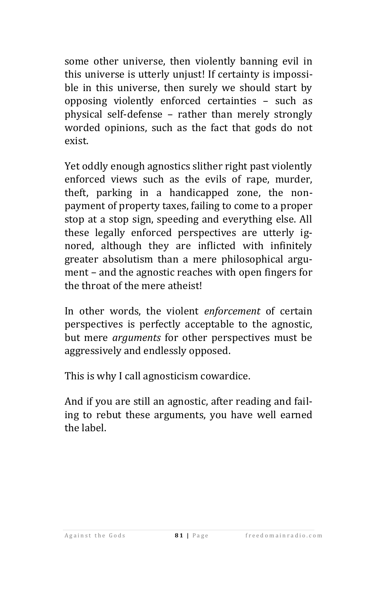some other universe, then violently banning evil in this universe is utterly unjust! If certainty is impossible in this universe, then surely we should start by opposing violently enforced certainties – such as physical self-defense – rather than merely strongly worded opinions, such as the fact that gods do not exist.

Yet oddly enough agnostics slither right past violently enforced views such as the evils of rape, murder, theft, parking in a handicapped zone, the nonpayment of property taxes, failing to come to a proper stop at a stop sign, speeding and everything else. All these legally enforced perspectives are utterly ignored, although they are inflicted with infinitely greater absolutism than a mere philosophical argument – and the agnostic reaches with open fingers for the throat of the mere atheist!

In other words, the violent *enforcement* of certain perspectives is perfectly acceptable to the agnostic, but mere *arguments* for other perspectives must be aggressively and endlessly opposed.

This is why I call agnosticism cowardice.

And if you are still an agnostic, after reading and failing to rebut these arguments, you have well earned the label.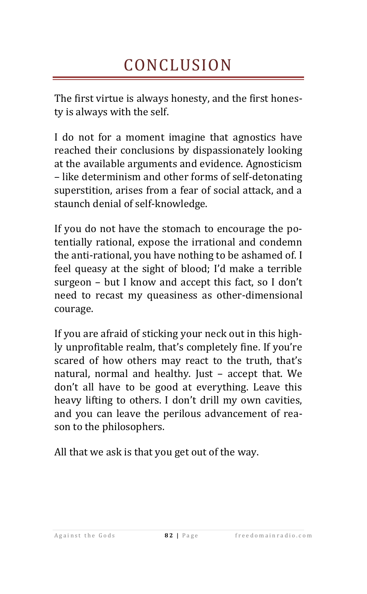## **CONCLUSION**

The first virtue is always honesty, and the first honesty is always with the self.

I do not for a moment imagine that agnostics have reached their conclusions by dispassionately looking at the available arguments and evidence. Agnosticism – like determinism and other forms of self-detonating superstition, arises from a fear of social attack, and a staunch denial of self-knowledge.

If you do not have the stomach to encourage the potentially rational, expose the irrational and condemn the anti-rational, you have nothing to be ashamed of. I feel queasy at the sight of blood; I'd make a terrible surgeon – but I know and accept this fact, so I don't need to recast my queasiness as other-dimensional courage.

If you are afraid of sticking your neck out in this highly unprofitable realm, that's completely fine. If you're scared of how others may react to the truth, that's natural, normal and healthy. Just – accept that. We don't all have to be good at everything. Leave this heavy lifting to others. I don't drill my own cavities, and you can leave the perilous advancement of reason to the philosophers.

All that we ask is that you get out of the way.